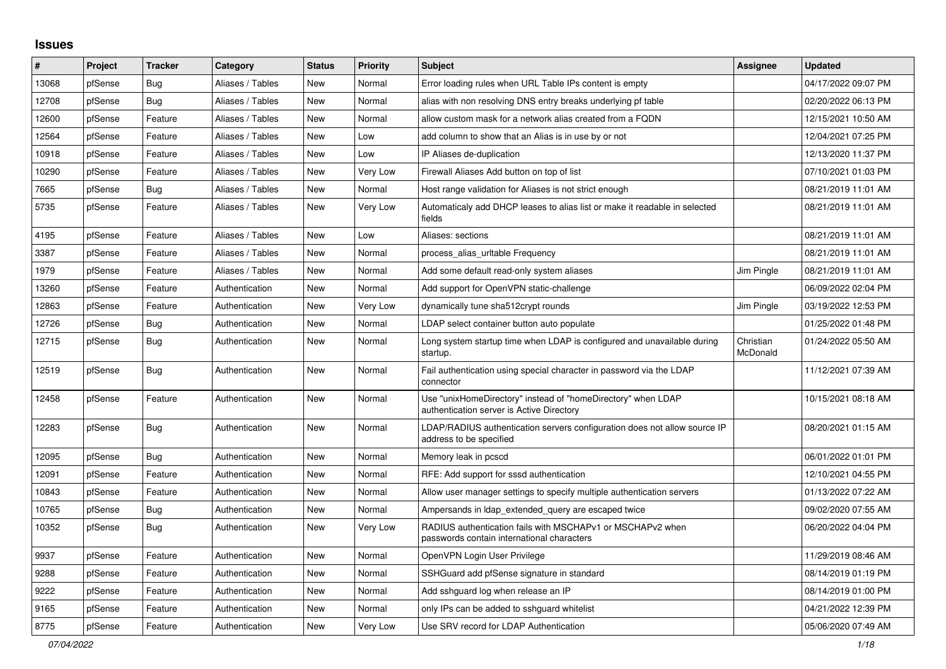## **Issues**

| #     | Project | <b>Tracker</b> | Category         | <b>Status</b> | <b>Priority</b> | <b>Subject</b>                                                                                            | <b>Assignee</b>       | <b>Updated</b>      |
|-------|---------|----------------|------------------|---------------|-----------------|-----------------------------------------------------------------------------------------------------------|-----------------------|---------------------|
| 13068 | pfSense | <b>Bug</b>     | Aliases / Tables | New           | Normal          | Error loading rules when URL Table IPs content is empty                                                   |                       | 04/17/2022 09:07 PM |
| 12708 | pfSense | Bug            | Aliases / Tables | New           | Normal          | alias with non resolving DNS entry breaks underlying pf table                                             |                       | 02/20/2022 06:13 PM |
| 12600 | pfSense | Feature        | Aliases / Tables | <b>New</b>    | Normal          | allow custom mask for a network alias created from a FQDN                                                 |                       | 12/15/2021 10:50 AM |
| 12564 | pfSense | Feature        | Aliases / Tables | New           | Low             | add column to show that an Alias is in use by or not                                                      |                       | 12/04/2021 07:25 PM |
| 10918 | pfSense | Feature        | Aliases / Tables | <b>New</b>    | Low             | IP Aliases de-duplication                                                                                 |                       | 12/13/2020 11:37 PM |
| 10290 | pfSense | Feature        | Aliases / Tables | <b>New</b>    | Very Low        | Firewall Aliases Add button on top of list                                                                |                       | 07/10/2021 01:03 PM |
| 7665  | pfSense | <b>Bug</b>     | Aliases / Tables | <b>New</b>    | Normal          | Host range validation for Aliases is not strict enough                                                    |                       | 08/21/2019 11:01 AM |
| 5735  | pfSense | Feature        | Aliases / Tables | <b>New</b>    | Very Low        | Automaticaly add DHCP leases to alias list or make it readable in selected<br>fields                      |                       | 08/21/2019 11:01 AM |
| 4195  | pfSense | Feature        | Aliases / Tables | <b>New</b>    | Low             | Aliases: sections                                                                                         |                       | 08/21/2019 11:01 AM |
| 3387  | pfSense | Feature        | Aliases / Tables | New           | Normal          | process alias uritable Frequency                                                                          |                       | 08/21/2019 11:01 AM |
| 1979  | pfSense | Feature        | Aliases / Tables | <b>New</b>    | Normal          | Add some default read-only system aliases                                                                 | Jim Pingle            | 08/21/2019 11:01 AM |
| 13260 | pfSense | Feature        | Authentication   | New           | Normal          | Add support for OpenVPN static-challenge                                                                  |                       | 06/09/2022 02:04 PM |
| 12863 | pfSense | Feature        | Authentication   | New           | Very Low        | dynamically tune sha512crypt rounds                                                                       | Jim Pingle            | 03/19/2022 12:53 PM |
| 12726 | pfSense | Bug            | Authentication   | New           | Normal          | LDAP select container button auto populate                                                                |                       | 01/25/2022 01:48 PM |
| 12715 | pfSense | Bug            | Authentication   | New           | Normal          | Long system startup time when LDAP is configured and unavailable during<br>startup.                       | Christian<br>McDonald | 01/24/2022 05:50 AM |
| 12519 | pfSense | <b>Bug</b>     | Authentication   | <b>New</b>    | Normal          | Fail authentication using special character in password via the LDAP<br>connector                         |                       | 11/12/2021 07:39 AM |
| 12458 | pfSense | Feature        | Authentication   | New           | Normal          | Use "unixHomeDirectory" instead of "homeDirectory" when LDAP<br>authentication server is Active Directory |                       | 10/15/2021 08:18 AM |
| 12283 | pfSense | Bug            | Authentication   | <b>New</b>    | Normal          | LDAP/RADIUS authentication servers configuration does not allow source IP<br>address to be specified      |                       | 08/20/2021 01:15 AM |
| 12095 | pfSense | Bug            | Authentication   | New           | Normal          | Memory leak in pcscd                                                                                      |                       | 06/01/2022 01:01 PM |
| 12091 | pfSense | Feature        | Authentication   | New           | Normal          | RFE: Add support for sssd authentication                                                                  |                       | 12/10/2021 04:55 PM |
| 10843 | pfSense | Feature        | Authentication   | <b>New</b>    | Normal          | Allow user manager settings to specify multiple authentication servers                                    |                       | 01/13/2022 07:22 AM |
| 10765 | pfSense | Bug            | Authentication   | <b>New</b>    | Normal          | Ampersands in Idap_extended_query are escaped twice                                                       |                       | 09/02/2020 07:55 AM |
| 10352 | pfSense | Bug            | Authentication   | New           | Very Low        | RADIUS authentication fails with MSCHAPv1 or MSCHAPv2 when<br>passwords contain international characters  |                       | 06/20/2022 04:04 PM |
| 9937  | pfSense | Feature        | Authentication   | <b>New</b>    | Normal          | OpenVPN Login User Privilege                                                                              |                       | 11/29/2019 08:46 AM |
| 9288  | pfSense | Feature        | Authentication   | New           | Normal          | SSHGuard add pfSense signature in standard                                                                |                       | 08/14/2019 01:19 PM |
| 9222  | pfSense | Feature        | Authentication   | <b>New</b>    | Normal          | Add sshguard log when release an IP                                                                       |                       | 08/14/2019 01:00 PM |
| 9165  | pfSense | Feature        | Authentication   | New           | Normal          | only IPs can be added to sshguard whitelist                                                               |                       | 04/21/2022 12:39 PM |
| 8775  | pfSense | Feature        | Authentication   | New           | Very Low        | Use SRV record for LDAP Authentication                                                                    |                       | 05/06/2020 07:49 AM |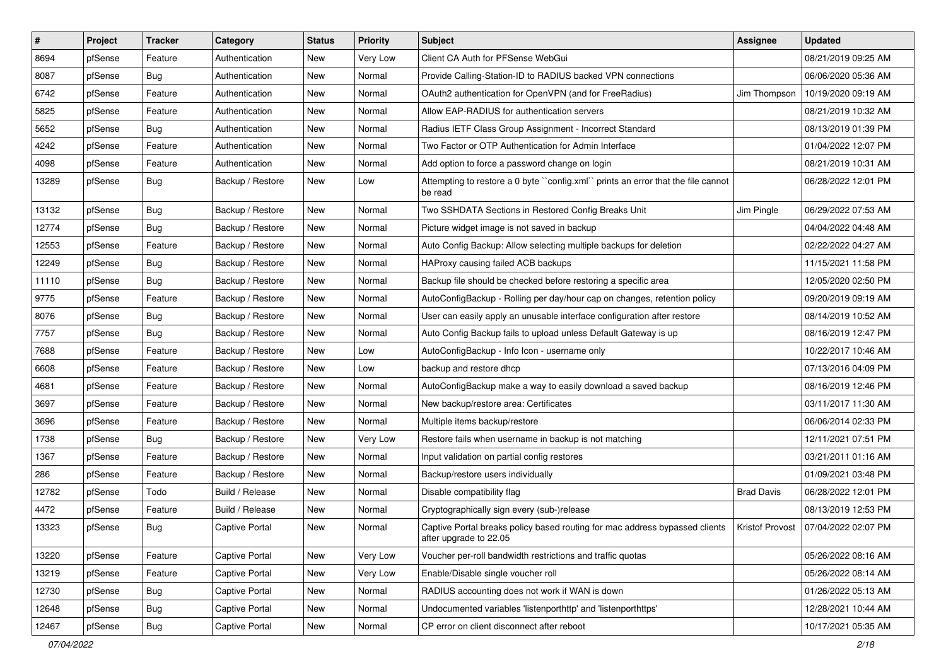| $\sharp$ | Project | <b>Tracker</b> | Category              | <b>Status</b> | <b>Priority</b> | <b>Subject</b>                                                                                        | Assignee          | <b>Updated</b>                        |
|----------|---------|----------------|-----------------------|---------------|-----------------|-------------------------------------------------------------------------------------------------------|-------------------|---------------------------------------|
| 8694     | pfSense | Feature        | Authentication        | New           | Very Low        | Client CA Auth for PFSense WebGui                                                                     |                   | 08/21/2019 09:25 AM                   |
| 8087     | pfSense | Bug            | Authentication        | New           | Normal          | Provide Calling-Station-ID to RADIUS backed VPN connections                                           |                   | 06/06/2020 05:36 AM                   |
| 6742     | pfSense | Feature        | Authentication        | New           | Normal          | OAuth2 authentication for OpenVPN (and for FreeRadius)                                                | Jim Thompson      | 10/19/2020 09:19 AM                   |
| 5825     | pfSense | Feature        | Authentication        | New           | Normal          | Allow EAP-RADIUS for authentication servers                                                           |                   | 08/21/2019 10:32 AM                   |
| 5652     | pfSense | Bug            | Authentication        | New           | Normal          | Radius IETF Class Group Assignment - Incorrect Standard                                               |                   | 08/13/2019 01:39 PM                   |
| 4242     | pfSense | Feature        | Authentication        | New           | Normal          | Two Factor or OTP Authentication for Admin Interface                                                  |                   | 01/04/2022 12:07 PM                   |
| 4098     | pfSense | Feature        | Authentication        | New           | Normal          | Add option to force a password change on login                                                        |                   | 08/21/2019 10:31 AM                   |
| 13289    | pfSense | Bug            | Backup / Restore      | New           | Low             | Attempting to restore a 0 byte "config.xml" prints an error that the file cannot<br>be read           |                   | 06/28/2022 12:01 PM                   |
| 13132    | pfSense | Bug            | Backup / Restore      | New           | Normal          | Two SSHDATA Sections in Restored Config Breaks Unit                                                   | Jim Pingle        | 06/29/2022 07:53 AM                   |
| 12774    | pfSense | Bug            | Backup / Restore      | New           | Normal          | Picture widget image is not saved in backup                                                           |                   | 04/04/2022 04:48 AM                   |
| 12553    | pfSense | Feature        | Backup / Restore      | New           | Normal          | Auto Config Backup: Allow selecting multiple backups for deletion                                     |                   | 02/22/2022 04:27 AM                   |
| 12249    | pfSense | Bug            | Backup / Restore      | New           | Normal          | HAProxy causing failed ACB backups                                                                    |                   | 11/15/2021 11:58 PM                   |
| 11110    | pfSense | Bug            | Backup / Restore      | New           | Normal          | Backup file should be checked before restoring a specific area                                        |                   | 12/05/2020 02:50 PM                   |
| 9775     | pfSense | Feature        | Backup / Restore      | New           | Normal          | AutoConfigBackup - Rolling per day/hour cap on changes, retention policy                              |                   | 09/20/2019 09:19 AM                   |
| 8076     | pfSense | Bug            | Backup / Restore      | New           | Normal          | User can easily apply an unusable interface configuration after restore                               |                   | 08/14/2019 10:52 AM                   |
| 7757     | pfSense | Bug            | Backup / Restore      | New           | Normal          | Auto Config Backup fails to upload unless Default Gateway is up                                       |                   | 08/16/2019 12:47 PM                   |
| 7688     | pfSense | Feature        | Backup / Restore      | <b>New</b>    | Low             | AutoConfigBackup - Info Icon - username only                                                          |                   | 10/22/2017 10:46 AM                   |
| 6608     | pfSense | Feature        | Backup / Restore      | New           | Low             | backup and restore dhcp                                                                               |                   | 07/13/2016 04:09 PM                   |
| 4681     | pfSense | Feature        | Backup / Restore      | New           | Normal          | AutoConfigBackup make a way to easily download a saved backup                                         |                   | 08/16/2019 12:46 PM                   |
| 3697     | pfSense | Feature        | Backup / Restore      | New           | Normal          | New backup/restore area: Certificates                                                                 |                   | 03/11/2017 11:30 AM                   |
| 3696     | pfSense | Feature        | Backup / Restore      | New           | Normal          | Multiple items backup/restore                                                                         |                   | 06/06/2014 02:33 PM                   |
| 1738     | pfSense | <b>Bug</b>     | Backup / Restore      | New           | Very Low        | Restore fails when username in backup is not matching                                                 |                   | 12/11/2021 07:51 PM                   |
| 1367     | pfSense | Feature        | Backup / Restore      | New           | Normal          | Input validation on partial config restores                                                           |                   | 03/21/2011 01:16 AM                   |
| 286      | pfSense | Feature        | Backup / Restore      | New           | Normal          | Backup/restore users individually                                                                     |                   | 01/09/2021 03:48 PM                   |
| 12782    | pfSense | Todo           | Build / Release       | <b>New</b>    | Normal          | Disable compatibility flag                                                                            | <b>Brad Davis</b> | 06/28/2022 12:01 PM                   |
| 4472     | pfSense | Feature        | Build / Release       | New           | Normal          | Cryptographically sign every (sub-)release                                                            |                   | 08/13/2019 12:53 PM                   |
| 13323    | pfSense | <b>Bug</b>     | <b>Captive Portal</b> | New           | Normal          | Captive Portal breaks policy based routing for mac address bypassed clients<br>after upgrade to 22.05 |                   | Kristof Provost   07/04/2022 02:07 PM |
| 13220    | pfSense | Feature        | Captive Portal        | <b>New</b>    | Very Low        | Voucher per-roll bandwidth restrictions and traffic quotas                                            |                   | 05/26/2022 08:16 AM                   |
| 13219    | pfSense | Feature        | Captive Portal        | New           | Very Low        | Enable/Disable single voucher roll                                                                    |                   | 05/26/2022 08:14 AM                   |
| 12730    | pfSense | Bug            | Captive Portal        | New           | Normal          | RADIUS accounting does not work if WAN is down                                                        |                   | 01/26/2022 05:13 AM                   |
| 12648    | pfSense | Bug            | <b>Captive Portal</b> | New           | Normal          | Undocumented variables 'listenporthttp' and 'listenporthttps'                                         |                   | 12/28/2021 10:44 AM                   |
| 12467    | pfSense | <b>Bug</b>     | Captive Portal        | New           | Normal          | CP error on client disconnect after reboot                                                            |                   | 10/17/2021 05:35 AM                   |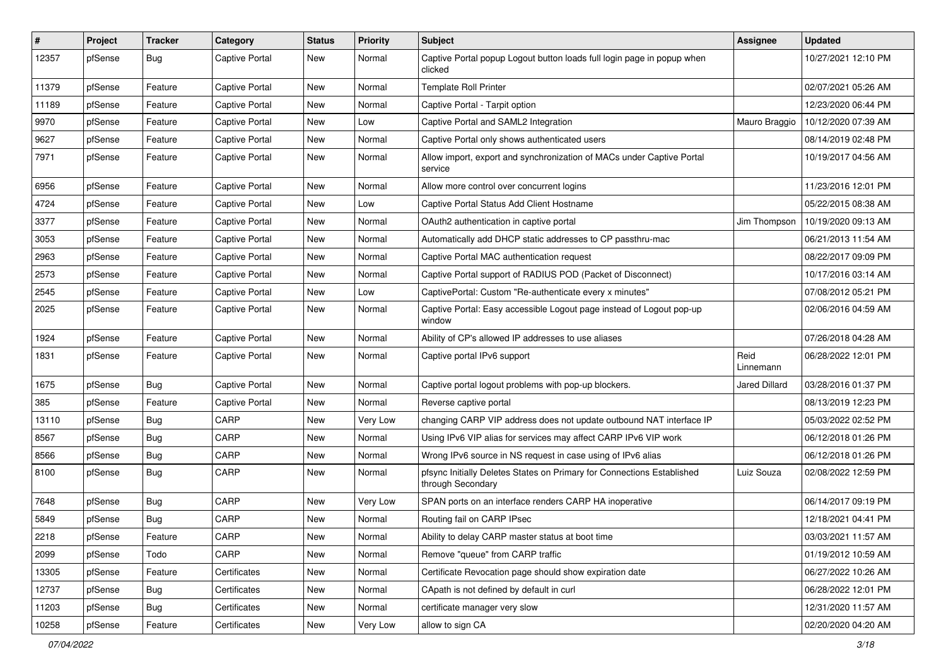| #     | Project | <b>Tracker</b> | Category              | <b>Status</b> | <b>Priority</b> | Subject                                                                                     | Assignee             | <b>Updated</b>      |
|-------|---------|----------------|-----------------------|---------------|-----------------|---------------------------------------------------------------------------------------------|----------------------|---------------------|
| 12357 | pfSense | Bug            | <b>Captive Portal</b> | <b>New</b>    | Normal          | Captive Portal popup Logout button loads full login page in popup when<br>clicked           |                      | 10/27/2021 12:10 PM |
| 11379 | pfSense | Feature        | <b>Captive Portal</b> | New           | Normal          | <b>Template Roll Printer</b>                                                                |                      | 02/07/2021 05:26 AM |
| 11189 | pfSense | Feature        | <b>Captive Portal</b> | <b>New</b>    | Normal          | Captive Portal - Tarpit option                                                              |                      | 12/23/2020 06:44 PM |
| 9970  | pfSense | Feature        | <b>Captive Portal</b> | <b>New</b>    | Low             | Captive Portal and SAML2 Integration                                                        | Mauro Braggio        | 10/12/2020 07:39 AM |
| 9627  | pfSense | Feature        | <b>Captive Portal</b> | New           | Normal          | Captive Portal only shows authenticated users                                               |                      | 08/14/2019 02:48 PM |
| 7971  | pfSense | Feature        | <b>Captive Portal</b> | New           | Normal          | Allow import, export and synchronization of MACs under Captive Portal<br>service            |                      | 10/19/2017 04:56 AM |
| 6956  | pfSense | Feature        | <b>Captive Portal</b> | <b>New</b>    | Normal          | Allow more control over concurrent logins                                                   |                      | 11/23/2016 12:01 PM |
| 4724  | pfSense | Feature        | <b>Captive Portal</b> | <b>New</b>    | Low             | Captive Portal Status Add Client Hostname                                                   |                      | 05/22/2015 08:38 AM |
| 3377  | pfSense | Feature        | <b>Captive Portal</b> | New           | Normal          | OAuth2 authentication in captive portal                                                     | Jim Thompson         | 10/19/2020 09:13 AM |
| 3053  | pfSense | Feature        | <b>Captive Portal</b> | New           | Normal          | Automatically add DHCP static addresses to CP passthru-mac                                  |                      | 06/21/2013 11:54 AM |
| 2963  | pfSense | Feature        | <b>Captive Portal</b> | <b>New</b>    | Normal          | Captive Portal MAC authentication request                                                   |                      | 08/22/2017 09:09 PM |
| 2573  | pfSense | Feature        | <b>Captive Portal</b> | New           | Normal          | Captive Portal support of RADIUS POD (Packet of Disconnect)                                 |                      | 10/17/2016 03:14 AM |
| 2545  | pfSense | Feature        | <b>Captive Portal</b> | <b>New</b>    | Low             | CaptivePortal: Custom "Re-authenticate every x minutes"                                     |                      | 07/08/2012 05:21 PM |
| 2025  | pfSense | Feature        | <b>Captive Portal</b> | New           | Normal          | Captive Portal: Easy accessible Logout page instead of Logout pop-up<br>window              |                      | 02/06/2016 04:59 AM |
| 1924  | pfSense | Feature        | <b>Captive Portal</b> | <b>New</b>    | Normal          | Ability of CP's allowed IP addresses to use aliases                                         |                      | 07/26/2018 04:28 AM |
| 1831  | pfSense | Feature        | <b>Captive Portal</b> | New           | Normal          | Captive portal IPv6 support                                                                 | Reid<br>Linnemann    | 06/28/2022 12:01 PM |
| 1675  | pfSense | Bug            | <b>Captive Portal</b> | <b>New</b>    | Normal          | Captive portal logout problems with pop-up blockers.                                        | <b>Jared Dillard</b> | 03/28/2016 01:37 PM |
| 385   | pfSense | Feature        | <b>Captive Portal</b> | New           | Normal          | Reverse captive portal                                                                      |                      | 08/13/2019 12:23 PM |
| 13110 | pfSense | <b>Bug</b>     | CARP                  | New           | Very Low        | changing CARP VIP address does not update outbound NAT interface IP                         |                      | 05/03/2022 02:52 PM |
| 8567  | pfSense | <b>Bug</b>     | CARP                  | New           | Normal          | Using IPv6 VIP alias for services may affect CARP IPv6 VIP work                             |                      | 06/12/2018 01:26 PM |
| 8566  | pfSense | <b>Bug</b>     | CARP                  | <b>New</b>    | Normal          | Wrong IPv6 source in NS request in case using of IPv6 alias                                 |                      | 06/12/2018 01:26 PM |
| 8100  | pfSense | <b>Bug</b>     | CARP                  | <b>New</b>    | Normal          | pfsync Initially Deletes States on Primary for Connections Established<br>through Secondary | Luiz Souza           | 02/08/2022 12:59 PM |
| 7648  | pfSense | <b>Bug</b>     | CARP                  | New           | Very Low        | SPAN ports on an interface renders CARP HA inoperative                                      |                      | 06/14/2017 09:19 PM |
| 5849  | pfSense | <b>Bug</b>     | CARP                  | <b>New</b>    | Normal          | Routing fail on CARP IPsec                                                                  |                      | 12/18/2021 04:41 PM |
| 2218  | pfSense | Feature        | CARP                  | New           | Normal          | Ability to delay CARP master status at boot time                                            |                      | 03/03/2021 11:57 AM |
| 2099  | pfSense | Todo           | CARP                  | New           | Normal          | Remove "queue" from CARP traffic                                                            |                      | 01/19/2012 10:59 AM |
| 13305 | pfSense | Feature        | Certificates          | New           | Normal          | Certificate Revocation page should show expiration date                                     |                      | 06/27/2022 10:26 AM |
| 12737 | pfSense | <b>Bug</b>     | Certificates          | New           | Normal          | CApath is not defined by default in curl                                                    |                      | 06/28/2022 12:01 PM |
| 11203 | pfSense | Bug            | Certificates          | New           | Normal          | certificate manager very slow                                                               |                      | 12/31/2020 11:57 AM |
| 10258 | pfSense | Feature        | Certificates          | New           | Very Low        | allow to sign CA                                                                            |                      | 02/20/2020 04:20 AM |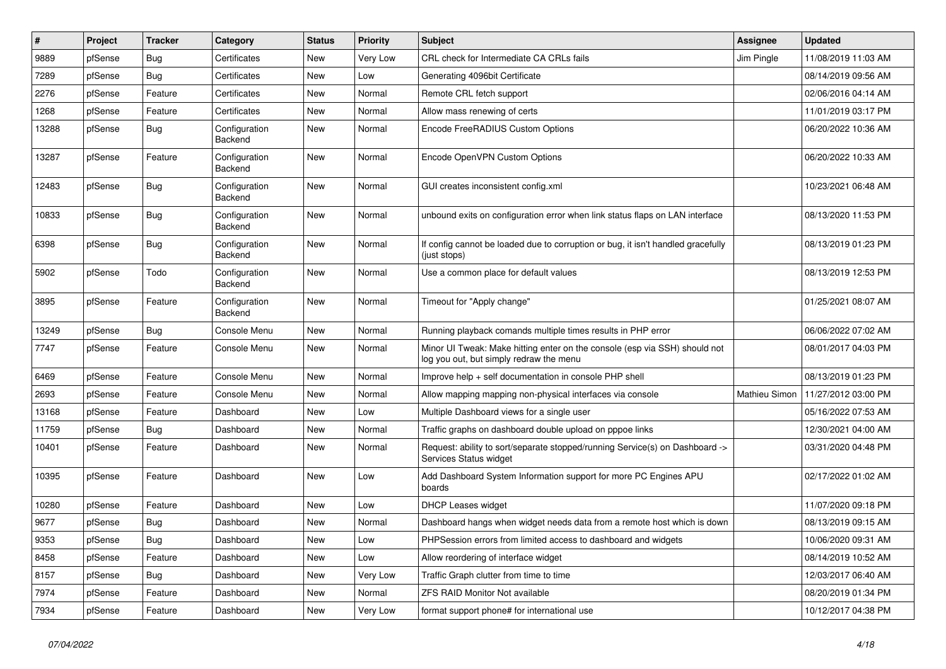| ∦     | Project | <b>Tracker</b> | Category                 | <b>Status</b> | <b>Priority</b> | Subject                                                                                                               | <b>Assignee</b> | <b>Updated</b>      |
|-------|---------|----------------|--------------------------|---------------|-----------------|-----------------------------------------------------------------------------------------------------------------------|-----------------|---------------------|
| 9889  | pfSense | <b>Bug</b>     | Certificates             | New           | Very Low        | CRL check for Intermediate CA CRLs fails                                                                              | Jim Pingle      | 11/08/2019 11:03 AM |
| 7289  | pfSense | <b>Bug</b>     | Certificates             | <b>New</b>    | Low             | Generating 4096bit Certificate                                                                                        |                 | 08/14/2019 09:56 AM |
| 2276  | pfSense | Feature        | Certificates             | New           | Normal          | Remote CRL fetch support                                                                                              |                 | 02/06/2016 04:14 AM |
| 1268  | pfSense | Feature        | Certificates             | New           | Normal          | Allow mass renewing of certs                                                                                          |                 | 11/01/2019 03:17 PM |
| 13288 | pfSense | Bug            | Configuration<br>Backend | <b>New</b>    | Normal          | Encode FreeRADIUS Custom Options                                                                                      |                 | 06/20/2022 10:36 AM |
| 13287 | pfSense | Feature        | Configuration<br>Backend | <b>New</b>    | Normal          | Encode OpenVPN Custom Options                                                                                         |                 | 06/20/2022 10:33 AM |
| 12483 | pfSense | Bug            | Configuration<br>Backend | <b>New</b>    | Normal          | GUI creates inconsistent config.xml                                                                                   |                 | 10/23/2021 06:48 AM |
| 10833 | pfSense | Bug            | Configuration<br>Backend | <b>New</b>    | Normal          | unbound exits on configuration error when link status flaps on LAN interface                                          |                 | 08/13/2020 11:53 PM |
| 6398  | pfSense | Bug            | Configuration<br>Backend | New           | Normal          | If config cannot be loaded due to corruption or bug, it isn't handled gracefully<br>(just stops)                      |                 | 08/13/2019 01:23 PM |
| 5902  | pfSense | Todo           | Configuration<br>Backend | <b>New</b>    | Normal          | Use a common place for default values                                                                                 |                 | 08/13/2019 12:53 PM |
| 3895  | pfSense | Feature        | Configuration<br>Backend | <b>New</b>    | Normal          | Timeout for "Apply change"                                                                                            |                 | 01/25/2021 08:07 AM |
| 13249 | pfSense | Bug            | Console Menu             | <b>New</b>    | Normal          | Running playback comands multiple times results in PHP error                                                          |                 | 06/06/2022 07:02 AM |
| 7747  | pfSense | Feature        | Console Menu             | <b>New</b>    | Normal          | Minor UI Tweak: Make hitting enter on the console (esp via SSH) should not<br>log you out, but simply redraw the menu |                 | 08/01/2017 04:03 PM |
| 6469  | pfSense | Feature        | Console Menu             | <b>New</b>    | Normal          | Improve help + self documentation in console PHP shell                                                                |                 | 08/13/2019 01:23 PM |
| 2693  | pfSense | Feature        | Console Menu             | New           | Normal          | Allow mapping mapping non-physical interfaces via console                                                             | Mathieu Simon   | 11/27/2012 03:00 PM |
| 13168 | pfSense | Feature        | Dashboard                | <b>New</b>    | Low             | Multiple Dashboard views for a single user                                                                            |                 | 05/16/2022 07:53 AM |
| 11759 | pfSense | <b>Bug</b>     | Dashboard                | New           | Normal          | Traffic graphs on dashboard double upload on pppoe links                                                              |                 | 12/30/2021 04:00 AM |
| 10401 | pfSense | Feature        | Dashboard                | New           | Normal          | Request: ability to sort/separate stopped/running Service(s) on Dashboard -><br>Services Status widget                |                 | 03/31/2020 04:48 PM |
| 10395 | pfSense | Feature        | Dashboard                | <b>New</b>    | Low             | Add Dashboard System Information support for more PC Engines APU<br>boards                                            |                 | 02/17/2022 01:02 AM |
| 10280 | pfSense | Feature        | Dashboard                | New           | Low             | DHCP Leases widget                                                                                                    |                 | 11/07/2020 09:18 PM |
| 9677  | pfSense | <b>Bug</b>     | Dashboard                | <b>New</b>    | Normal          | Dashboard hangs when widget needs data from a remote host which is down                                               |                 | 08/13/2019 09:15 AM |
| 9353  | pfSense | <b>Bug</b>     | Dashboard                | New           | Low             | PHPSession errors from limited access to dashboard and widgets                                                        |                 | 10/06/2020 09:31 AM |
| 8458  | pfSense | Feature        | Dashboard                | New           | Low             | Allow reordering of interface widget                                                                                  |                 | 08/14/2019 10:52 AM |
| 8157  | pfSense | <b>Bug</b>     | Dashboard                | New           | Very Low        | Traffic Graph clutter from time to time                                                                               |                 | 12/03/2017 06:40 AM |
| 7974  | pfSense | Feature        | Dashboard                | New           | Normal          | ZFS RAID Monitor Not available                                                                                        |                 | 08/20/2019 01:34 PM |
| 7934  | pfSense | Feature        | Dashboard                | New           | Very Low        | format support phone# for international use                                                                           |                 | 10/12/2017 04:38 PM |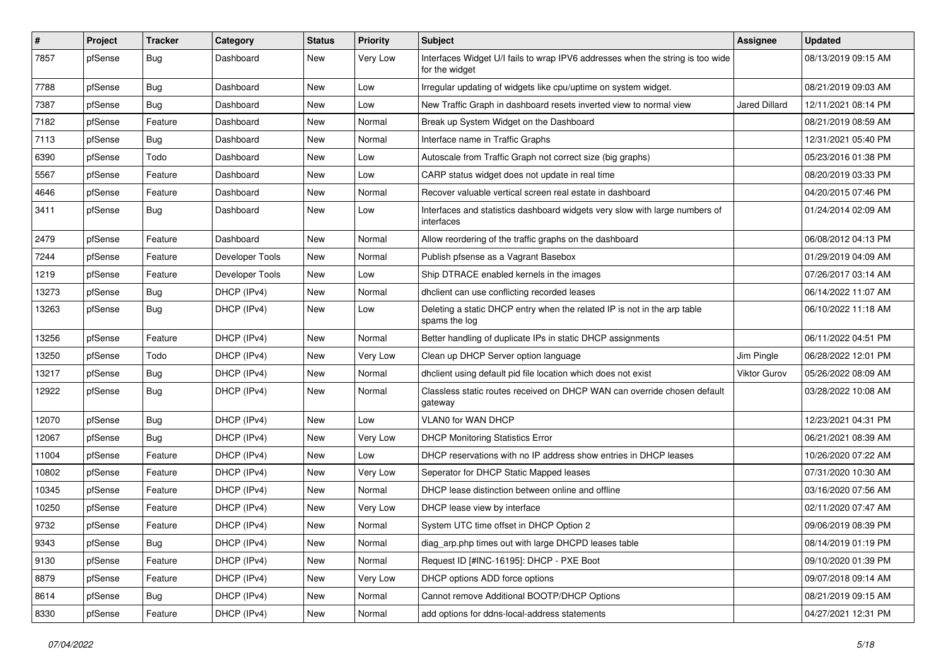| $\vert$ # | Project | <b>Tracker</b> | Category        | <b>Status</b> | <b>Priority</b> | Subject                                                                                          | <b>Assignee</b>      | <b>Updated</b>      |
|-----------|---------|----------------|-----------------|---------------|-----------------|--------------------------------------------------------------------------------------------------|----------------------|---------------------|
| 7857      | pfSense | <b>Bug</b>     | Dashboard       | New           | Very Low        | Interfaces Widget U/I fails to wrap IPV6 addresses when the string is too wide<br>for the widget |                      | 08/13/2019 09:15 AM |
| 7788      | pfSense | <b>Bug</b>     | Dashboard       | New           | Low             | Irregular updating of widgets like cpu/uptime on system widget.                                  |                      | 08/21/2019 09:03 AM |
| 7387      | pfSense | <b>Bug</b>     | Dashboard       | New           | Low             | New Traffic Graph in dashboard resets inverted view to normal view                               | <b>Jared Dillard</b> | 12/11/2021 08:14 PM |
| 7182      | pfSense | Feature        | Dashboard       | <b>New</b>    | Normal          | Break up System Widget on the Dashboard                                                          |                      | 08/21/2019 08:59 AM |
| 7113      | pfSense | Bug            | Dashboard       | New           | Normal          | Interface name in Traffic Graphs                                                                 |                      | 12/31/2021 05:40 PM |
| 6390      | pfSense | Todo           | Dashboard       | New           | Low             | Autoscale from Traffic Graph not correct size (big graphs)                                       |                      | 05/23/2016 01:38 PM |
| 5567      | pfSense | Feature        | Dashboard       | New           | Low             | CARP status widget does not update in real time                                                  |                      | 08/20/2019 03:33 PM |
| 4646      | pfSense | Feature        | Dashboard       | <b>New</b>    | Normal          | Recover valuable vertical screen real estate in dashboard                                        |                      | 04/20/2015 07:46 PM |
| 3411      | pfSense | <b>Bug</b>     | Dashboard       | New           | Low             | Interfaces and statistics dashboard widgets very slow with large numbers of<br>interfaces        |                      | 01/24/2014 02:09 AM |
| 2479      | pfSense | Feature        | Dashboard       | <b>New</b>    | Normal          | Allow reordering of the traffic graphs on the dashboard                                          |                      | 06/08/2012 04:13 PM |
| 7244      | pfSense | Feature        | Developer Tools | <b>New</b>    | Normal          | Publish pfsense as a Vagrant Basebox                                                             |                      | 01/29/2019 04:09 AM |
| 1219      | pfSense | Feature        | Developer Tools | New           | Low             | Ship DTRACE enabled kernels in the images                                                        |                      | 07/26/2017 03:14 AM |
| 13273     | pfSense | <b>Bug</b>     | DHCP (IPv4)     | New           | Normal          | dhclient can use conflicting recorded leases                                                     |                      | 06/14/2022 11:07 AM |
| 13263     | pfSense | <b>Bug</b>     | DHCP (IPv4)     | <b>New</b>    | Low             | Deleting a static DHCP entry when the related IP is not in the arp table<br>spams the log        |                      | 06/10/2022 11:18 AM |
| 13256     | pfSense | Feature        | DHCP (IPv4)     | <b>New</b>    | Normal          | Better handling of duplicate IPs in static DHCP assignments                                      |                      | 06/11/2022 04:51 PM |
| 13250     | pfSense | Todo           | DHCP (IPv4)     | New           | Very Low        | Clean up DHCP Server option language                                                             | Jim Pingle           | 06/28/2022 12:01 PM |
| 13217     | pfSense | Bug            | DHCP (IPv4)     | New           | Normal          | dhclient using default pid file location which does not exist                                    | Viktor Gurov         | 05/26/2022 08:09 AM |
| 12922     | pfSense | Bug            | DHCP (IPv4)     | <b>New</b>    | Normal          | Classless static routes received on DHCP WAN can override chosen default<br>gateway              |                      | 03/28/2022 10:08 AM |
| 12070     | pfSense | Bug            | DHCP (IPv4)     | <b>New</b>    | Low             | <b>VLAN0 for WAN DHCP</b>                                                                        |                      | 12/23/2021 04:31 PM |
| 12067     | pfSense | <b>Bug</b>     | DHCP (IPv4)     | New           | Very Low        | <b>DHCP Monitoring Statistics Error</b>                                                          |                      | 06/21/2021 08:39 AM |
| 11004     | pfSense | Feature        | DHCP (IPv4)     | <b>New</b>    | Low             | DHCP reservations with no IP address show entries in DHCP leases                                 |                      | 10/26/2020 07:22 AM |
| 10802     | pfSense | Feature        | DHCP (IPv4)     | <b>New</b>    | Very Low        | Seperator for DHCP Static Mapped leases                                                          |                      | 07/31/2020 10:30 AM |
| 10345     | pfSense | Feature        | DHCP (IPv4)     | New           | Normal          | DHCP lease distinction between online and offline                                                |                      | 03/16/2020 07:56 AM |
| 10250     | pfSense | Feature        | DHCP (IPv4)     | New           | Very Low        | DHCP lease view by interface                                                                     |                      | 02/11/2020 07:47 AM |
| 9732      | pfSense | Feature        | DHCP (IPv4)     | <b>New</b>    | Normal          | System UTC time offset in DHCP Option 2                                                          |                      | 09/06/2019 08:39 PM |
| 9343      | pfSense | <b>Bug</b>     | DHCP (IPv4)     | New           | Normal          | diag_arp.php times out with large DHCPD leases table                                             |                      | 08/14/2019 01:19 PM |
| 9130      | pfSense | Feature        | DHCP (IPv4)     | <b>New</b>    | Normal          | Request ID [#INC-16195]: DHCP - PXE Boot                                                         |                      | 09/10/2020 01:39 PM |
| 8879      | pfSense | Feature        | DHCP (IPv4)     | New           | Very Low        | DHCP options ADD force options                                                                   |                      | 09/07/2018 09:14 AM |
| 8614      | pfSense | Bug            | DHCP (IPv4)     | New           | Normal          | Cannot remove Additional BOOTP/DHCP Options                                                      |                      | 08/21/2019 09:15 AM |
| 8330      | pfSense | Feature        | DHCP (IPv4)     | New           | Normal          | add options for ddns-local-address statements                                                    |                      | 04/27/2021 12:31 PM |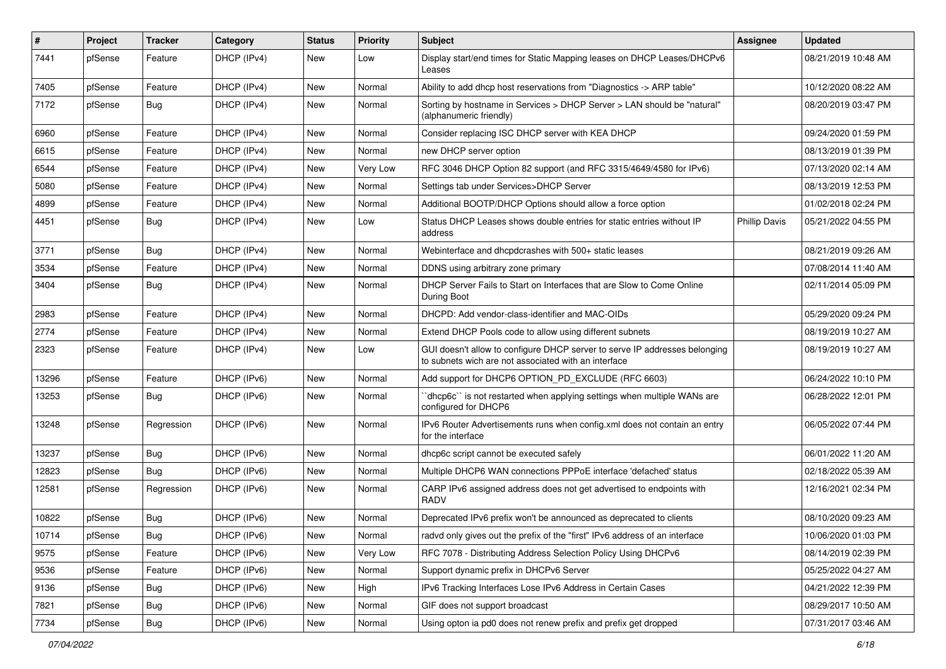| #     | Project | <b>Tracker</b> | Category    | <b>Status</b> | <b>Priority</b> | Subject                                                                                                                            | <b>Assignee</b>      | <b>Updated</b>      |
|-------|---------|----------------|-------------|---------------|-----------------|------------------------------------------------------------------------------------------------------------------------------------|----------------------|---------------------|
| 7441  | pfSense | Feature        | DHCP (IPv4) | New           | Low             | Display start/end times for Static Mapping leases on DHCP Leases/DHCPv6<br>Leases                                                  |                      | 08/21/2019 10:48 AM |
| 7405  | pfSense | Feature        | DHCP (IPv4) | New           | Normal          | Ability to add dhcp host reservations from "Diagnostics -> ARP table"                                                              |                      | 10/12/2020 08:22 AM |
| 7172  | pfSense | <b>Bug</b>     | DHCP (IPv4) | New           | Normal          | Sorting by hostname in Services > DHCP Server > LAN should be "natural"<br>(alphanumeric friendly)                                 |                      | 08/20/2019 03:47 PM |
| 6960  | pfSense | Feature        | DHCP (IPv4) | New           | Normal          | Consider replacing ISC DHCP server with KEA DHCP                                                                                   |                      | 09/24/2020 01:59 PM |
| 6615  | pfSense | Feature        | DHCP (IPv4) | New           | Normal          | new DHCP server option                                                                                                             |                      | 08/13/2019 01:39 PM |
| 6544  | pfSense | Feature        | DHCP (IPv4) | New           | Very Low        | RFC 3046 DHCP Option 82 support (and RFC 3315/4649/4580 for IPv6)                                                                  |                      | 07/13/2020 02:14 AM |
| 5080  | pfSense | Feature        | DHCP (IPv4) | New           | Normal          | Settings tab under Services>DHCP Server                                                                                            |                      | 08/13/2019 12:53 PM |
| 4899  | pfSense | Feature        | DHCP (IPv4) | New           | Normal          | Additional BOOTP/DHCP Options should allow a force option                                                                          |                      | 01/02/2018 02:24 PM |
| 4451  | pfSense | <b>Bug</b>     | DHCP (IPv4) | New           | Low             | Status DHCP Leases shows double entries for static entries without IP<br>address                                                   | <b>Phillip Davis</b> | 05/21/2022 04:55 PM |
| 3771  | pfSense | <b>Bug</b>     | DHCP (IPv4) | New           | Normal          | Webinterface and dhcpdcrashes with 500+ static leases                                                                              |                      | 08/21/2019 09:26 AM |
| 3534  | pfSense | Feature        | DHCP (IPv4) | New           | Normal          | DDNS using arbitrary zone primary                                                                                                  |                      | 07/08/2014 11:40 AM |
| 3404  | pfSense | Bug            | DHCP (IPv4) | New           | Normal          | DHCP Server Fails to Start on Interfaces that are Slow to Come Online<br>During Boot                                               |                      | 02/11/2014 05:09 PM |
| 2983  | pfSense | Feature        | DHCP (IPv4) | New           | Normal          | DHCPD: Add vendor-class-identifier and MAC-OIDs                                                                                    |                      | 05/29/2020 09:24 PM |
| 2774  | pfSense | Feature        | DHCP (IPv4) | New           | Normal          | Extend DHCP Pools code to allow using different subnets                                                                            |                      | 08/19/2019 10:27 AM |
| 2323  | pfSense | Feature        | DHCP (IPv4) | New           | Low             | GUI doesn't allow to configure DHCP server to serve IP addresses belonging<br>to subnets wich are not associated with an interface |                      | 08/19/2019 10:27 AM |
| 13296 | pfSense | Feature        | DHCP (IPv6) | New           | Normal          | Add support for DHCP6 OPTION_PD_EXCLUDE (RFC 6603)                                                                                 |                      | 06/24/2022 10:10 PM |
| 13253 | pfSense | Bug            | DHCP (IPv6) | New           | Normal          | 'dhcp6c' is not restarted when applying settings when multiple WANs are<br>configured for DHCP6                                    |                      | 06/28/2022 12:01 PM |
| 13248 | pfSense | Regression     | DHCP (IPv6) | New           | Normal          | IPv6 Router Advertisements runs when config.xml does not contain an entry<br>for the interface                                     |                      | 06/05/2022 07:44 PM |
| 13237 | pfSense | Bug            | DHCP (IPv6) | New           | Normal          | dhcp6c script cannot be executed safely                                                                                            |                      | 06/01/2022 11:20 AM |
| 12823 | pfSense | <b>Bug</b>     | DHCP (IPv6) | New           | Normal          | Multiple DHCP6 WAN connections PPPoE interface 'defached' status                                                                   |                      | 02/18/2022 05:39 AM |
| 12581 | pfSense | Regression     | DHCP (IPv6) | New           | Normal          | CARP IPv6 assigned address does not get advertised to endpoints with<br><b>RADV</b>                                                |                      | 12/16/2021 02:34 PM |
| 10822 | pfSense | <b>Bug</b>     | DHCP (IPv6) | New           | Normal          | Deprecated IPv6 prefix won't be announced as deprecated to clients                                                                 |                      | 08/10/2020 09:23 AM |
| 10714 | pfSense | <b>Bug</b>     | DHCP (IPv6) | New           | Normal          | radvd only gives out the prefix of the "first" IPv6 address of an interface                                                        |                      | 10/06/2020 01:03 PM |
| 9575  | pfSense | Feature        | DHCP (IPv6) | New           | Very Low        | RFC 7078 - Distributing Address Selection Policy Using DHCPv6                                                                      |                      | 08/14/2019 02:39 PM |
| 9536  | pfSense | Feature        | DHCP (IPv6) | New           | Normal          | Support dynamic prefix in DHCPv6 Server                                                                                            |                      | 05/25/2022 04:27 AM |
| 9136  | pfSense | <b>Bug</b>     | DHCP (IPv6) | New           | High            | IPv6 Tracking Interfaces Lose IPv6 Address in Certain Cases                                                                        |                      | 04/21/2022 12:39 PM |
| 7821  | pfSense | Bug            | DHCP (IPv6) | New           | Normal          | GIF does not support broadcast                                                                                                     |                      | 08/29/2017 10:50 AM |
| 7734  | pfSense | Bug            | DHCP (IPv6) | New           | Normal          | Using opton ia pd0 does not renew prefix and prefix get dropped                                                                    |                      | 07/31/2017 03:46 AM |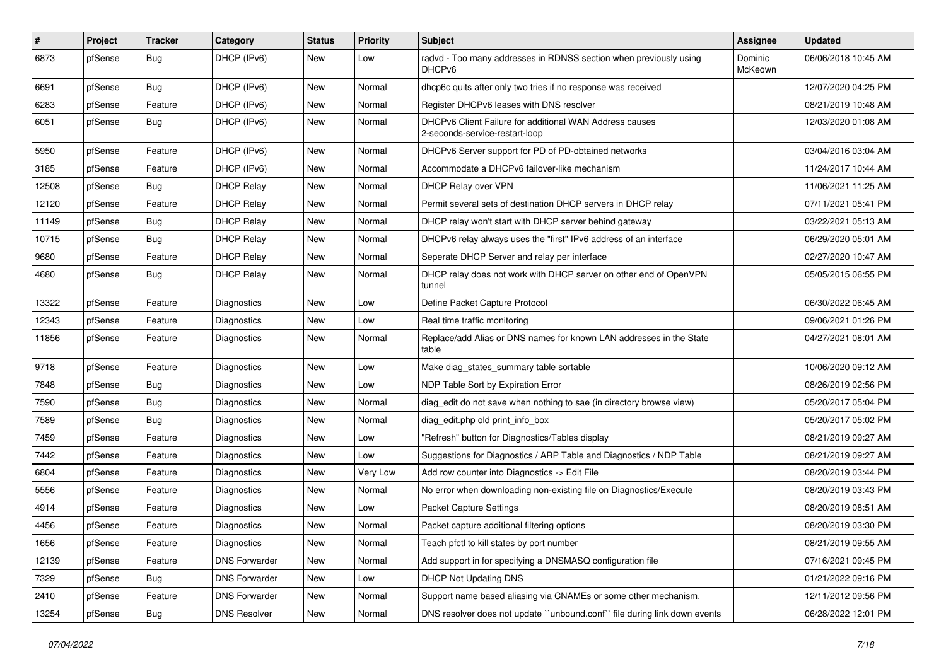| #     | Project | <b>Tracker</b> | Category             | <b>Status</b> | Priority | <b>Subject</b>                                                                            | Assignee           | <b>Updated</b>      |
|-------|---------|----------------|----------------------|---------------|----------|-------------------------------------------------------------------------------------------|--------------------|---------------------|
| 6873  | pfSense | Bug            | DHCP (IPv6)          | New           | Low      | radvd - Too many addresses in RDNSS section when previously using<br>DHCP <sub>v6</sub>   | Dominic<br>McKeown | 06/06/2018 10:45 AM |
| 6691  | pfSense | Bug            | DHCP (IPv6)          | New           | Normal   | dhcp6c quits after only two tries if no response was received                             |                    | 12/07/2020 04:25 PM |
| 6283  | pfSense | Feature        | DHCP (IPv6)          | New           | Normal   | Register DHCPv6 leases with DNS resolver                                                  |                    | 08/21/2019 10:48 AM |
| 6051  | pfSense | Bug            | DHCP (IPv6)          | <b>New</b>    | Normal   | DHCPv6 Client Failure for additional WAN Address causes<br>2-seconds-service-restart-loop |                    | 12/03/2020 01:08 AM |
| 5950  | pfSense | Feature        | DHCP (IPv6)          | New           | Normal   | DHCPv6 Server support for PD of PD-obtained networks                                      |                    | 03/04/2016 03:04 AM |
| 3185  | pfSense | Feature        | DHCP (IPv6)          | New           | Normal   | Accommodate a DHCPv6 failover-like mechanism                                              |                    | 11/24/2017 10:44 AM |
| 12508 | pfSense | <b>Bug</b>     | <b>DHCP Relay</b>    | New           | Normal   | DHCP Relay over VPN                                                                       |                    | 11/06/2021 11:25 AM |
| 12120 | pfSense | Feature        | <b>DHCP Relay</b>    | <b>New</b>    | Normal   | Permit several sets of destination DHCP servers in DHCP relay                             |                    | 07/11/2021 05:41 PM |
| 11149 | pfSense | Bug            | <b>DHCP Relay</b>    | New           | Normal   | DHCP relay won't start with DHCP server behind gateway                                    |                    | 03/22/2021 05:13 AM |
| 10715 | pfSense | <b>Bug</b>     | <b>DHCP Relay</b>    | New           | Normal   | DHCPv6 relay always uses the "first" IPv6 address of an interface                         |                    | 06/29/2020 05:01 AM |
| 9680  | pfSense | Feature        | <b>DHCP Relay</b>    | <b>New</b>    | Normal   | Seperate DHCP Server and relay per interface                                              |                    | 02/27/2020 10:47 AM |
| 4680  | pfSense | <b>Bug</b>     | <b>DHCP Relay</b>    | New           | Normal   | DHCP relay does not work with DHCP server on other end of OpenVPN<br>tunnel               |                    | 05/05/2015 06:55 PM |
| 13322 | pfSense | Feature        | Diagnostics          | <b>New</b>    | Low      | Define Packet Capture Protocol                                                            |                    | 06/30/2022 06:45 AM |
| 12343 | pfSense | Feature        | Diagnostics          | New           | Low      | Real time traffic monitoring                                                              |                    | 09/06/2021 01:26 PM |
| 11856 | pfSense | Feature        | Diagnostics          | New           | Normal   | Replace/add Alias or DNS names for known LAN addresses in the State<br>table              |                    | 04/27/2021 08:01 AM |
| 9718  | pfSense | Feature        | Diagnostics          | New           | Low      | Make diag_states_summary table sortable                                                   |                    | 10/06/2020 09:12 AM |
| 7848  | pfSense | <b>Bug</b>     | Diagnostics          | <b>New</b>    | Low      | NDP Table Sort by Expiration Error                                                        |                    | 08/26/2019 02:56 PM |
| 7590  | pfSense | <b>Bug</b>     | Diagnostics          | New           | Normal   | diag edit do not save when nothing to sae (in directory browse view)                      |                    | 05/20/2017 05:04 PM |
| 7589  | pfSense | Bug            | <b>Diagnostics</b>   | New           | Normal   | diag_edit.php old print_info_box                                                          |                    | 05/20/2017 05:02 PM |
| 7459  | pfSense | Feature        | Diagnostics          | New           | Low      | "Refresh" button for Diagnostics/Tables display                                           |                    | 08/21/2019 09:27 AM |
| 7442  | pfSense | Feature        | Diagnostics          | New           | Low      | Suggestions for Diagnostics / ARP Table and Diagnostics / NDP Table                       |                    | 08/21/2019 09:27 AM |
| 6804  | pfSense | Feature        | <b>Diagnostics</b>   | <b>New</b>    | Very Low | Add row counter into Diagnostics -> Edit File                                             |                    | 08/20/2019 03:44 PM |
| 5556  | pfSense | Feature        | Diagnostics          | New           | Normal   | No error when downloading non-existing file on Diagnostics/Execute                        |                    | 08/20/2019 03:43 PM |
| 4914  | pfSense | Feature        | Diagnostics          | New           | Low      | <b>Packet Capture Settings</b>                                                            |                    | 08/20/2019 08:51 AM |
| 4456  | pfSense | Feature        | Diagnostics          | New           | Normal   | Packet capture additional filtering options                                               |                    | 08/20/2019 03:30 PM |
| 1656  | pfSense | Feature        | Diagnostics          | New           | Normal   | Teach pfctl to kill states by port number                                                 |                    | 08/21/2019 09:55 AM |
| 12139 | pfSense | Feature        | <b>DNS Forwarder</b> | <b>New</b>    | Normal   | Add support in for specifying a DNSMASQ configuration file                                |                    | 07/16/2021 09:45 PM |
| 7329  | pfSense | Bug            | <b>DNS Forwarder</b> | New           | Low      | DHCP Not Updating DNS                                                                     |                    | 01/21/2022 09:16 PM |
| 2410  | pfSense | Feature        | <b>DNS Forwarder</b> | New           | Normal   | Support name based aliasing via CNAMEs or some other mechanism.                           |                    | 12/11/2012 09:56 PM |
| 13254 | pfSense | Bug            | <b>DNS Resolver</b>  | New           | Normal   | DNS resolver does not update "unbound.conf" file during link down events                  |                    | 06/28/2022 12:01 PM |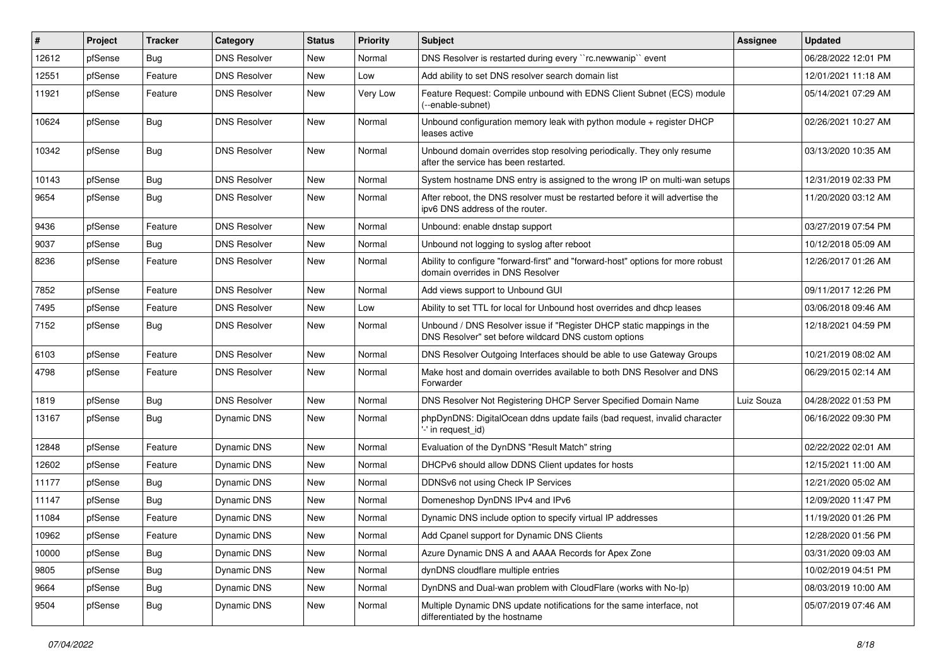| #     | Project | <b>Tracker</b> | Category            | <b>Status</b> | <b>Priority</b> | Subject                                                                                                                       | <b>Assignee</b> | <b>Updated</b>      |
|-------|---------|----------------|---------------------|---------------|-----------------|-------------------------------------------------------------------------------------------------------------------------------|-----------------|---------------------|
| 12612 | pfSense | <b>Bug</b>     | <b>DNS Resolver</b> | New           | Normal          | DNS Resolver is restarted during every "rc.newwanip" event                                                                    |                 | 06/28/2022 12:01 PM |
| 12551 | pfSense | Feature        | <b>DNS Resolver</b> | New           | Low             | Add ability to set DNS resolver search domain list                                                                            |                 | 12/01/2021 11:18 AM |
| 11921 | pfSense | Feature        | <b>DNS Resolver</b> | New           | Very Low        | Feature Request: Compile unbound with EDNS Client Subnet (ECS) module<br>(--enable-subnet)                                    |                 | 05/14/2021 07:29 AM |
| 10624 | pfSense | <b>Bug</b>     | <b>DNS Resolver</b> | New           | Normal          | Unbound configuration memory leak with python module + register DHCP<br>leases active                                         |                 | 02/26/2021 10:27 AM |
| 10342 | pfSense | <b>Bug</b>     | <b>DNS Resolver</b> | New           | Normal          | Unbound domain overrides stop resolving periodically. They only resume<br>after the service has been restarted.               |                 | 03/13/2020 10:35 AM |
| 10143 | pfSense | <b>Bug</b>     | <b>DNS Resolver</b> | New           | Normal          | System hostname DNS entry is assigned to the wrong IP on multi-wan setups                                                     |                 | 12/31/2019 02:33 PM |
| 9654  | pfSense | <b>Bug</b>     | <b>DNS Resolver</b> | New           | Normal          | After reboot, the DNS resolver must be restarted before it will advertise the<br>ipv6 DNS address of the router.              |                 | 11/20/2020 03:12 AM |
| 9436  | pfSense | Feature        | <b>DNS Resolver</b> | New           | Normal          | Unbound: enable dnstap support                                                                                                |                 | 03/27/2019 07:54 PM |
| 9037  | pfSense | <b>Bug</b>     | <b>DNS Resolver</b> | New           | Normal          | Unbound not logging to syslog after reboot                                                                                    |                 | 10/12/2018 05:09 AM |
| 8236  | pfSense | Feature        | <b>DNS Resolver</b> | New           | Normal          | Ability to configure "forward-first" and "forward-host" options for more robust<br>domain overrides in DNS Resolver           |                 | 12/26/2017 01:26 AM |
| 7852  | pfSense | Feature        | <b>DNS Resolver</b> | New           | Normal          | Add views support to Unbound GUI                                                                                              |                 | 09/11/2017 12:26 PM |
| 7495  | pfSense | Feature        | <b>DNS Resolver</b> | New           | Low             | Ability to set TTL for local for Unbound host overrides and dhcp leases                                                       |                 | 03/06/2018 09:46 AM |
| 7152  | pfSense | <b>Bug</b>     | <b>DNS Resolver</b> | New           | Normal          | Unbound / DNS Resolver issue if "Register DHCP static mappings in the<br>DNS Resolver" set before wildcard DNS custom options |                 | 12/18/2021 04:59 PM |
| 6103  | pfSense | Feature        | <b>DNS Resolver</b> | New           | Normal          | DNS Resolver Outgoing Interfaces should be able to use Gateway Groups                                                         |                 | 10/21/2019 08:02 AM |
| 4798  | pfSense | Feature        | <b>DNS Resolver</b> | New           | Normal          | Make host and domain overrides available to both DNS Resolver and DNS<br>Forwarder                                            |                 | 06/29/2015 02:14 AM |
| 1819  | pfSense | Bug            | <b>DNS Resolver</b> | <b>New</b>    | Normal          | DNS Resolver Not Registering DHCP Server Specified Domain Name                                                                | Luiz Souza      | 04/28/2022 01:53 PM |
| 13167 | pfSense | Bug            | <b>Dynamic DNS</b>  | New           | Normal          | phpDynDNS: DigitalOcean ddns update fails (bad request, invalid character<br>'-' in request id)                               |                 | 06/16/2022 09:30 PM |
| 12848 | pfSense | Feature        | <b>Dynamic DNS</b>  | New           | Normal          | Evaluation of the DynDNS "Result Match" string                                                                                |                 | 02/22/2022 02:01 AM |
| 12602 | pfSense | Feature        | <b>Dynamic DNS</b>  | <b>New</b>    | Normal          | DHCPv6 should allow DDNS Client updates for hosts                                                                             |                 | 12/15/2021 11:00 AM |
| 11177 | pfSense | <b>Bug</b>     | <b>Dynamic DNS</b>  | New           | Normal          | DDNSv6 not using Check IP Services                                                                                            |                 | 12/21/2020 05:02 AM |
| 11147 | pfSense | <b>Bug</b>     | <b>Dynamic DNS</b>  | New           | Normal          | Domeneshop DynDNS IPv4 and IPv6                                                                                               |                 | 12/09/2020 11:47 PM |
| 11084 | pfSense | Feature        | Dynamic DNS         | New           | Normal          | Dynamic DNS include option to specify virtual IP addresses                                                                    |                 | 11/19/2020 01:26 PM |
| 10962 | pfSense | Feature        | Dynamic DNS         | New           | Normal          | Add Cpanel support for Dynamic DNS Clients                                                                                    |                 | 12/28/2020 01:56 PM |
| 10000 | pfSense | <b>Bug</b>     | Dynamic DNS         | New           | Normal          | Azure Dynamic DNS A and AAAA Records for Apex Zone                                                                            |                 | 03/31/2020 09:03 AM |
| 9805  | pfSense | <b>Bug</b>     | Dynamic DNS         | New           | Normal          | dynDNS cloudflare multiple entries                                                                                            |                 | 10/02/2019 04:51 PM |
| 9664  | pfSense | <b>Bug</b>     | Dynamic DNS         | New           | Normal          | DynDNS and Dual-wan problem with CloudFlare (works with No-Ip)                                                                |                 | 08/03/2019 10:00 AM |
| 9504  | pfSense | <b>Bug</b>     | Dynamic DNS         | New           | Normal          | Multiple Dynamic DNS update notifications for the same interface, not<br>differentiated by the hostname                       |                 | 05/07/2019 07:46 AM |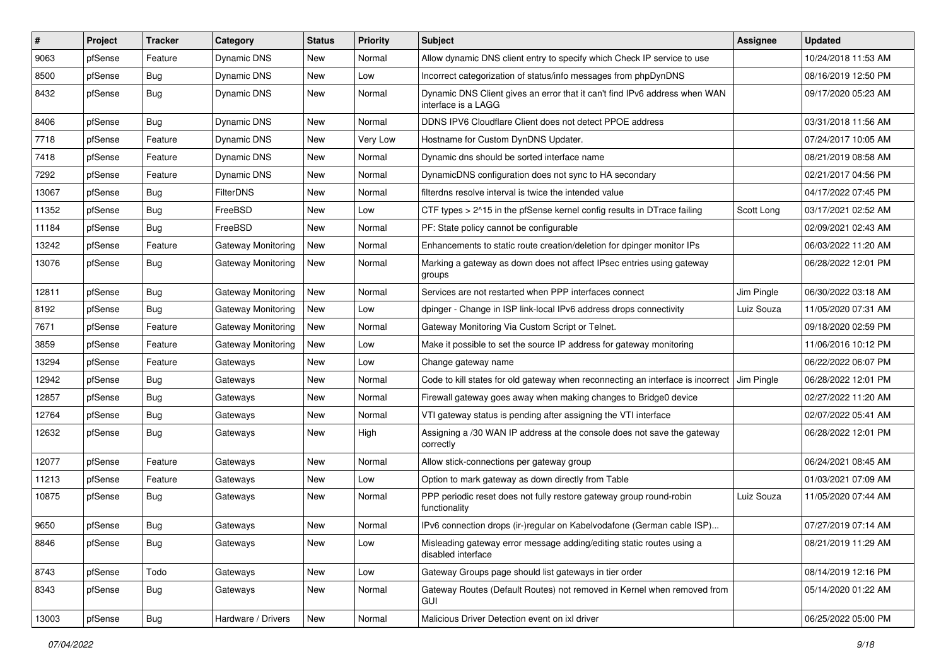| #     | Project | <b>Tracker</b> | Category           | <b>Status</b> | <b>Priority</b> | Subject                                                                                           | Assignee   | <b>Updated</b>      |
|-------|---------|----------------|--------------------|---------------|-----------------|---------------------------------------------------------------------------------------------------|------------|---------------------|
| 9063  | pfSense | Feature        | <b>Dynamic DNS</b> | New           | Normal          | Allow dynamic DNS client entry to specify which Check IP service to use                           |            | 10/24/2018 11:53 AM |
| 8500  | pfSense | Bug            | Dynamic DNS        | New           | Low             | Incorrect categorization of status/info messages from phpDynDNS                                   |            | 08/16/2019 12:50 PM |
| 8432  | pfSense | <b>Bug</b>     | Dynamic DNS        | New           | Normal          | Dynamic DNS Client gives an error that it can't find IPv6 address when WAN<br>interface is a LAGG |            | 09/17/2020 05:23 AM |
| 8406  | pfSense | <b>Bug</b>     | <b>Dynamic DNS</b> | New           | Normal          | DDNS IPV6 Cloudflare Client does not detect PPOE address                                          |            | 03/31/2018 11:56 AM |
| 7718  | pfSense | Feature        | Dynamic DNS        | New           | Very Low        | Hostname for Custom DynDNS Updater.                                                               |            | 07/24/2017 10:05 AM |
| 7418  | pfSense | Feature        | Dynamic DNS        | New           | Normal          | Dynamic dns should be sorted interface name                                                       |            | 08/21/2019 08:58 AM |
| 7292  | pfSense | Feature        | <b>Dynamic DNS</b> | New           | Normal          | DynamicDNS configuration does not sync to HA secondary                                            |            | 02/21/2017 04:56 PM |
| 13067 | pfSense | <b>Bug</b>     | <b>FilterDNS</b>   | New           | Normal          | filterdns resolve interval is twice the intended value                                            |            | 04/17/2022 07:45 PM |
| 11352 | pfSense | <b>Bug</b>     | FreeBSD            | New           | Low             | CTF types > 2^15 in the pfSense kernel config results in DTrace failing                           | Scott Long | 03/17/2021 02:52 AM |
| 11184 | pfSense | <b>Bug</b>     | FreeBSD            | New           | Normal          | PF: State policy cannot be configurable                                                           |            | 02/09/2021 02:43 AM |
| 13242 | pfSense | Feature        | Gateway Monitoring | New           | Normal          | Enhancements to static route creation/deletion for dpinger monitor IPs                            |            | 06/03/2022 11:20 AM |
| 13076 | pfSense | Bug            | Gateway Monitoring | New           | Normal          | Marking a gateway as down does not affect IPsec entries using gateway<br>groups                   |            | 06/28/2022 12:01 PM |
| 12811 | pfSense | <b>Bug</b>     | Gateway Monitoring | <b>New</b>    | Normal          | Services are not restarted when PPP interfaces connect                                            | Jim Pingle | 06/30/2022 03:18 AM |
| 8192  | pfSense | Bug            | Gateway Monitoring | <b>New</b>    | Low             | dpinger - Change in ISP link-local IPv6 address drops connectivity                                | Luiz Souza | 11/05/2020 07:31 AM |
| 7671  | pfSense | Feature        | Gateway Monitoring | New           | Normal          | Gateway Monitoring Via Custom Script or Telnet.                                                   |            | 09/18/2020 02:59 PM |
| 3859  | pfSense | Feature        | Gateway Monitoring | New           | Low             | Make it possible to set the source IP address for gateway monitoring                              |            | 11/06/2016 10:12 PM |
| 13294 | pfSense | Feature        | Gateways           | New           | Low             | Change gateway name                                                                               |            | 06/22/2022 06:07 PM |
| 12942 | pfSense | <b>Bug</b>     | Gateways           | New           | Normal          | Code to kill states for old gateway when reconnecting an interface is incorrect                   | Jim Pingle | 06/28/2022 12:01 PM |
| 12857 | pfSense | <b>Bug</b>     | Gateways           | <b>New</b>    | Normal          | Firewall gateway goes away when making changes to Bridge0 device                                  |            | 02/27/2022 11:20 AM |
| 12764 | pfSense | <b>Bug</b>     | Gateways           | New           | Normal          | VTI gateway status is pending after assigning the VTI interface                                   |            | 02/07/2022 05:41 AM |
| 12632 | pfSense | <b>Bug</b>     | Gateways           | New           | High            | Assigning a /30 WAN IP address at the console does not save the gateway<br>correctly              |            | 06/28/2022 12:01 PM |
| 12077 | pfSense | Feature        | Gateways           | New           | Normal          | Allow stick-connections per gateway group                                                         |            | 06/24/2021 08:45 AM |
| 11213 | pfSense | Feature        | Gateways           | New           | Low             | Option to mark gateway as down directly from Table                                                |            | 01/03/2021 07:09 AM |
| 10875 | pfSense | <b>Bug</b>     | Gateways           | New           | Normal          | PPP periodic reset does not fully restore gateway group round-robin<br>functionality              | Luiz Souza | 11/05/2020 07:44 AM |
| 9650  | pfSense | Bug            | Gateways           | New           | Normal          | IPv6 connection drops (ir-)regular on Kabelvodafone (German cable ISP)                            |            | 07/27/2019 07:14 AM |
| 8846  | pfSense | <b>Bug</b>     | Gateways           | New           | Low             | Misleading gateway error message adding/editing static routes using a<br>disabled interface       |            | 08/21/2019 11:29 AM |
| 8743  | pfSense | Todo           | Gateways           | New           | Low             | Gateway Groups page should list gateways in tier order                                            |            | 08/14/2019 12:16 PM |
| 8343  | pfSense | Bug            | Gateways           | New           | Normal          | Gateway Routes (Default Routes) not removed in Kernel when removed from<br><b>GUI</b>             |            | 05/14/2020 01:22 AM |
| 13003 | pfSense | <b>Bug</b>     | Hardware / Drivers | New           | Normal          | Malicious Driver Detection event on ixl driver                                                    |            | 06/25/2022 05:00 PM |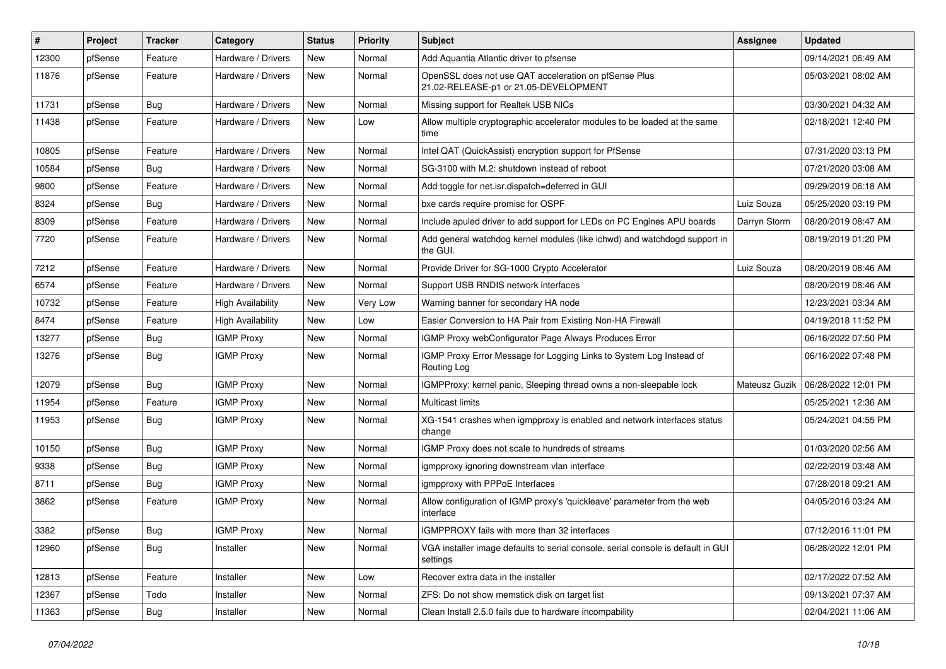| #     | Project | <b>Tracker</b> | Category                 | <b>Status</b> | <b>Priority</b> | Subject                                                                                        | Assignee      | <b>Updated</b>      |
|-------|---------|----------------|--------------------------|---------------|-----------------|------------------------------------------------------------------------------------------------|---------------|---------------------|
| 12300 | pfSense | Feature        | Hardware / Drivers       | <b>New</b>    | Normal          | Add Aquantia Atlantic driver to pfsense                                                        |               | 09/14/2021 06:49 AM |
| 11876 | pfSense | Feature        | Hardware / Drivers       | New           | Normal          | OpenSSL does not use QAT acceleration on pfSense Plus<br>21.02-RELEASE-p1 or 21.05-DEVELOPMENT |               | 05/03/2021 08:02 AM |
| 11731 | pfSense | Bug            | Hardware / Drivers       | New           | Normal          | Missing support for Realtek USB NICs                                                           |               | 03/30/2021 04:32 AM |
| 11438 | pfSense | Feature        | Hardware / Drivers       | <b>New</b>    | Low             | Allow multiple cryptographic accelerator modules to be loaded at the same<br>time              |               | 02/18/2021 12:40 PM |
| 10805 | pfSense | Feature        | Hardware / Drivers       | <b>New</b>    | Normal          | Intel QAT (QuickAssist) encryption support for PfSense                                         |               | 07/31/2020 03:13 PM |
| 10584 | pfSense | Bug            | Hardware / Drivers       | New           | Normal          | SG-3100 with M.2: shutdown instead of reboot                                                   |               | 07/21/2020 03:08 AM |
| 9800  | pfSense | Feature        | Hardware / Drivers       | <b>New</b>    | Normal          | Add toggle for net.isr.dispatch=deferred in GUI                                                |               | 09/29/2019 06:18 AM |
| 8324  | pfSense | Bug            | Hardware / Drivers       | <b>New</b>    | Normal          | bxe cards require promisc for OSPF                                                             | Luiz Souza    | 05/25/2020 03:19 PM |
| 8309  | pfSense | Feature        | Hardware / Drivers       | New           | Normal          | Include apuled driver to add support for LEDs on PC Engines APU boards                         | Darryn Storm  | 08/20/2019 08:47 AM |
| 7720  | pfSense | Feature        | Hardware / Drivers       | New           | Normal          | Add general watchdog kernel modules (like ichwd) and watchdogd support in<br>the GUI.          |               | 08/19/2019 01:20 PM |
| 7212  | pfSense | Feature        | Hardware / Drivers       | <b>New</b>    | Normal          | Provide Driver for SG-1000 Crypto Accelerator                                                  | Luiz Souza    | 08/20/2019 08:46 AM |
| 6574  | pfSense | Feature        | Hardware / Drivers       | <b>New</b>    | Normal          | Support USB RNDIS network interfaces                                                           |               | 08/20/2019 08:46 AM |
| 10732 | pfSense | Feature        | <b>High Availability</b> | New           | Very Low        | Warning banner for secondary HA node                                                           |               | 12/23/2021 03:34 AM |
| 8474  | pfSense | Feature        | <b>High Availability</b> | <b>New</b>    | Low             | Easier Conversion to HA Pair from Existing Non-HA Firewall                                     |               | 04/19/2018 11:52 PM |
| 13277 | pfSense | <b>Bug</b>     | <b>IGMP Proxy</b>        | New           | Normal          | IGMP Proxy webConfigurator Page Always Produces Error                                          |               | 06/16/2022 07:50 PM |
| 13276 | pfSense | Bug            | <b>IGMP Proxy</b>        | New           | Normal          | IGMP Proxy Error Message for Logging Links to System Log Instead of<br>Routing Log             |               | 06/16/2022 07:48 PM |
| 12079 | pfSense | Bug            | <b>IGMP Proxy</b>        | New           | Normal          | IGMPProxy: kernel panic, Sleeping thread owns a non-sleepable lock                             | Mateusz Guzik | 06/28/2022 12:01 PM |
| 11954 | pfSense | Feature        | <b>IGMP Proxy</b>        | New           | Normal          | Multicast limits                                                                               |               | 05/25/2021 12:36 AM |
| 11953 | pfSense | <b>Bug</b>     | <b>IGMP Proxy</b>        | <b>New</b>    | Normal          | XG-1541 crashes when igmpproxy is enabled and network interfaces status<br>change              |               | 05/24/2021 04:55 PM |
| 10150 | pfSense | Bug            | <b>IGMP Proxy</b>        | <b>New</b>    | Normal          | IGMP Proxy does not scale to hundreds of streams                                               |               | 01/03/2020 02:56 AM |
| 9338  | pfSense | <b>Bug</b>     | <b>IGMP Proxy</b>        | <b>New</b>    | Normal          | igmpproxy ignoring downstream vlan interface                                                   |               | 02/22/2019 03:48 AM |
| 8711  | pfSense | Bug            | <b>IGMP Proxy</b>        | New           | Normal          | igmpproxy with PPPoE Interfaces                                                                |               | 07/28/2018 09:21 AM |
| 3862  | pfSense | Feature        | <b>IGMP Proxy</b>        | New           | Normal          | Allow configuration of IGMP proxy's 'quickleave' parameter from the web<br>interface           |               | 04/05/2016 03:24 AM |
| 3382  | pfSense | Bug            | <b>IGMP Proxy</b>        | New           | Normal          | IGMPPROXY fails with more than 32 interfaces                                                   |               | 07/12/2016 11:01 PM |
| 12960 | pfSense | Bug            | Installer                | New           | Normal          | VGA installer image defaults to serial console, serial console is default in GUI<br>settings   |               | 06/28/2022 12:01 PM |
| 12813 | pfSense | Feature        | Installer                | New           | Low             | Recover extra data in the installer                                                            |               | 02/17/2022 07:52 AM |
| 12367 | pfSense | Todo           | Installer                | New           | Normal          | ZFS: Do not show memstick disk on target list                                                  |               | 09/13/2021 07:37 AM |
| 11363 | pfSense | Bug            | Installer                | New           | Normal          | Clean Install 2.5.0 fails due to hardware incompability                                        |               | 02/04/2021 11:06 AM |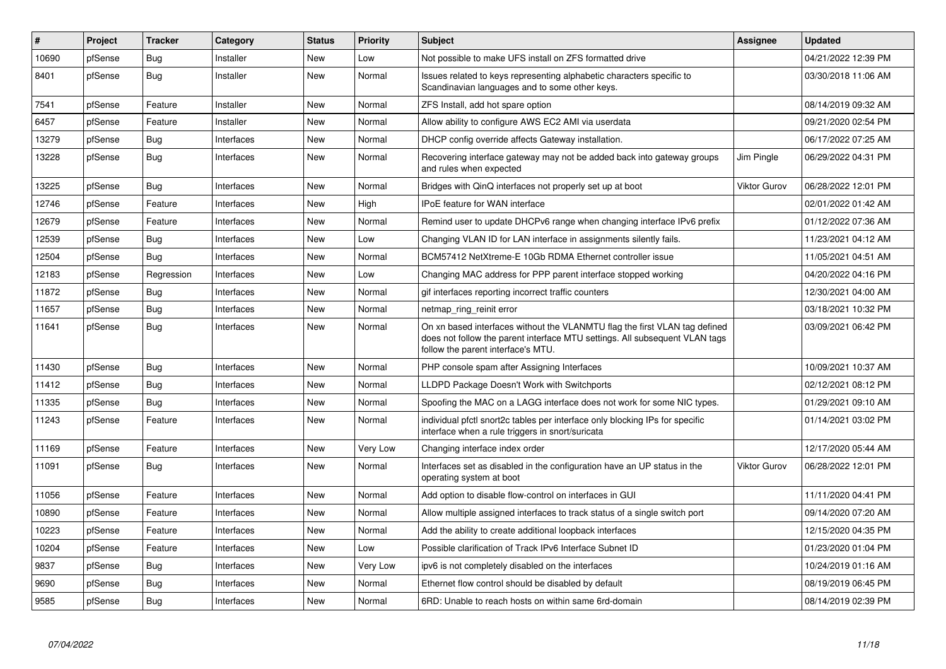| $\vert$ # | Project | <b>Tracker</b> | Category   | <b>Status</b> | <b>Priority</b> | <b>Subject</b>                                                                                                                                                                                  | Assignee            | <b>Updated</b>      |
|-----------|---------|----------------|------------|---------------|-----------------|-------------------------------------------------------------------------------------------------------------------------------------------------------------------------------------------------|---------------------|---------------------|
| 10690     | pfSense | <b>Bug</b>     | Installer  | <b>New</b>    | Low             | Not possible to make UFS install on ZFS formatted drive                                                                                                                                         |                     | 04/21/2022 12:39 PM |
| 8401      | pfSense | Bug            | Installer  | <b>New</b>    | Normal          | Issues related to keys representing alphabetic characters specific to<br>Scandinavian languages and to some other keys.                                                                         |                     | 03/30/2018 11:06 AM |
| 7541      | pfSense | Feature        | Installer  | <b>New</b>    | Normal          | ZFS Install, add hot spare option                                                                                                                                                               |                     | 08/14/2019 09:32 AM |
| 6457      | pfSense | Feature        | Installer  | <b>New</b>    | Normal          | Allow ability to configure AWS EC2 AMI via userdata                                                                                                                                             |                     | 09/21/2020 02:54 PM |
| 13279     | pfSense | Bug            | Interfaces | <b>New</b>    | Normal          | DHCP config override affects Gateway installation.                                                                                                                                              |                     | 06/17/2022 07:25 AM |
| 13228     | pfSense | <b>Bug</b>     | Interfaces | <b>New</b>    | Normal          | Recovering interface gateway may not be added back into gateway groups<br>and rules when expected                                                                                               | Jim Pingle          | 06/29/2022 04:31 PM |
| 13225     | pfSense | <b>Bug</b>     | Interfaces | <b>New</b>    | Normal          | Bridges with QinQ interfaces not properly set up at boot                                                                                                                                        | <b>Viktor Gurov</b> | 06/28/2022 12:01 PM |
| 12746     | pfSense | Feature        | Interfaces | <b>New</b>    | High            | <b>IPoE</b> feature for WAN interface                                                                                                                                                           |                     | 02/01/2022 01:42 AM |
| 12679     | pfSense | Feature        | Interfaces | <b>New</b>    | Normal          | Remind user to update DHCPv6 range when changing interface IPv6 prefix                                                                                                                          |                     | 01/12/2022 07:36 AM |
| 12539     | pfSense | <b>Bug</b>     | Interfaces | <b>New</b>    | Low             | Changing VLAN ID for LAN interface in assignments silently fails.                                                                                                                               |                     | 11/23/2021 04:12 AM |
| 12504     | pfSense | Bug            | Interfaces | <b>New</b>    | Normal          | BCM57412 NetXtreme-E 10Gb RDMA Ethernet controller issue                                                                                                                                        |                     | 11/05/2021 04:51 AM |
| 12183     | pfSense | Regression     | Interfaces | <b>New</b>    | Low             | Changing MAC address for PPP parent interface stopped working                                                                                                                                   |                     | 04/20/2022 04:16 PM |
| 11872     | pfSense | <b>Bug</b>     | Interfaces | <b>New</b>    | Normal          | gif interfaces reporting incorrect traffic counters                                                                                                                                             |                     | 12/30/2021 04:00 AM |
| 11657     | pfSense | <b>Bug</b>     | Interfaces | <b>New</b>    | Normal          | netmap_ring_reinit error                                                                                                                                                                        |                     | 03/18/2021 10:32 PM |
| 11641     | pfSense | <b>Bug</b>     | Interfaces | <b>New</b>    | Normal          | On xn based interfaces without the VLANMTU flag the first VLAN tag defined<br>does not follow the parent interface MTU settings. All subsequent VLAN tags<br>follow the parent interface's MTU. |                     | 03/09/2021 06:42 PM |
| 11430     | pfSense | <b>Bug</b>     | Interfaces | <b>New</b>    | Normal          | PHP console spam after Assigning Interfaces                                                                                                                                                     |                     | 10/09/2021 10:37 AM |
| 11412     | pfSense | Bug            | Interfaces | <b>New</b>    | Normal          | LLDPD Package Doesn't Work with Switchports                                                                                                                                                     |                     | 02/12/2021 08:12 PM |
| 11335     | pfSense | Bug            | Interfaces | <b>New</b>    | Normal          | Spoofing the MAC on a LAGG interface does not work for some NIC types.                                                                                                                          |                     | 01/29/2021 09:10 AM |
| 11243     | pfSense | Feature        | Interfaces | New           | Normal          | individual pfctl snort2c tables per interface only blocking IPs for specific<br>interface when a rule triggers in snort/suricata                                                                |                     | 01/14/2021 03:02 PM |
| 11169     | pfSense | Feature        | Interfaces | <b>New</b>    | Very Low        | Changing interface index order                                                                                                                                                                  |                     | 12/17/2020 05:44 AM |
| 11091     | pfSense | Bug            | Interfaces | <b>New</b>    | Normal          | Interfaces set as disabled in the configuration have an UP status in the<br>operating system at boot                                                                                            | <b>Viktor Gurov</b> | 06/28/2022 12:01 PM |
| 11056     | pfSense | Feature        | Interfaces | <b>New</b>    | Normal          | Add option to disable flow-control on interfaces in GUI                                                                                                                                         |                     | 11/11/2020 04:41 PM |
| 10890     | pfSense | Feature        | Interfaces | New           | Normal          | Allow multiple assigned interfaces to track status of a single switch port                                                                                                                      |                     | 09/14/2020 07:20 AM |
| 10223     | pfSense | Feature        | Interfaces | <b>New</b>    | Normal          | Add the ability to create additional loopback interfaces                                                                                                                                        |                     | 12/15/2020 04:35 PM |
| 10204     | pfSense | Feature        | Interfaces | New           | Low             | Possible clarification of Track IPv6 Interface Subnet ID                                                                                                                                        |                     | 01/23/2020 01:04 PM |
| 9837      | pfSense | <b>Bug</b>     | Interfaces | <b>New</b>    | Very Low        | ipv6 is not completely disabled on the interfaces                                                                                                                                               |                     | 10/24/2019 01:16 AM |
| 9690      | pfSense | <b>Bug</b>     | Interfaces | New           | Normal          | Ethernet flow control should be disabled by default                                                                                                                                             |                     | 08/19/2019 06:45 PM |
| 9585      | pfSense | <b>Bug</b>     | Interfaces | <b>New</b>    | Normal          | 6RD: Unable to reach hosts on within same 6rd-domain                                                                                                                                            |                     | 08/14/2019 02:39 PM |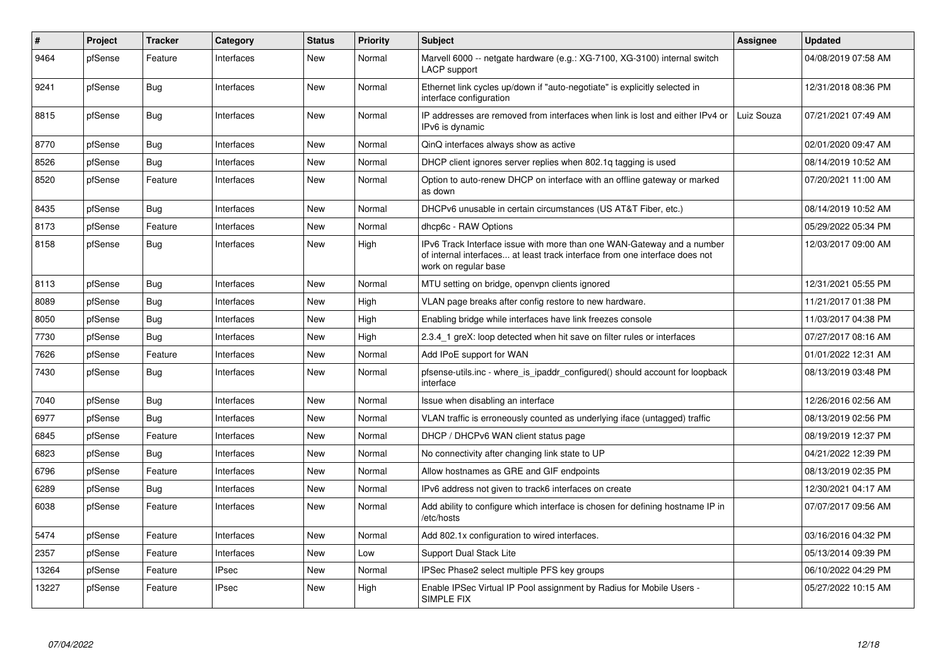| #     | Project | <b>Tracker</b> | Category     | <b>Status</b> | <b>Priority</b> | <b>Subject</b>                                                                                                                                                                | <b>Assignee</b> | <b>Updated</b>      |
|-------|---------|----------------|--------------|---------------|-----------------|-------------------------------------------------------------------------------------------------------------------------------------------------------------------------------|-----------------|---------------------|
| 9464  | pfSense | Feature        | Interfaces   | <b>New</b>    | Normal          | Marvell 6000 -- netgate hardware (e.g.: XG-7100, XG-3100) internal switch<br>LACP support                                                                                     |                 | 04/08/2019 07:58 AM |
| 9241  | pfSense | Bug            | Interfaces   | New           | Normal          | Ethernet link cycles up/down if "auto-negotiate" is explicitly selected in<br>interface configuration                                                                         |                 | 12/31/2018 08:36 PM |
| 8815  | pfSense | Bug            | Interfaces   | <b>New</b>    | Normal          | IP addresses are removed from interfaces when link is lost and either IPv4 or<br>IPv6 is dynamic                                                                              | Luiz Souza      | 07/21/2021 07:49 AM |
| 8770  | pfSense | <b>Bug</b>     | Interfaces   | <b>New</b>    | Normal          | QinQ interfaces always show as active                                                                                                                                         |                 | 02/01/2020 09:47 AM |
| 8526  | pfSense | Bug            | Interfaces   | <b>New</b>    | Normal          | DHCP client ignores server replies when 802.1g tagging is used                                                                                                                |                 | 08/14/2019 10:52 AM |
| 8520  | pfSense | Feature        | Interfaces   | <b>New</b>    | Normal          | Option to auto-renew DHCP on interface with an offline gateway or marked<br>as down                                                                                           |                 | 07/20/2021 11:00 AM |
| 8435  | pfSense | Bug            | Interfaces   | <b>New</b>    | Normal          | DHCPv6 unusable in certain circumstances (US AT&T Fiber, etc.)                                                                                                                |                 | 08/14/2019 10:52 AM |
| 8173  | pfSense | Feature        | Interfaces   | <b>New</b>    | Normal          | dhcp6c - RAW Options                                                                                                                                                          |                 | 05/29/2022 05:34 PM |
| 8158  | pfSense | <b>Bug</b>     | Interfaces   | <b>New</b>    | High            | IPv6 Track Interface issue with more than one WAN-Gateway and a number<br>of internal interfaces at least track interface from one interface does not<br>work on regular base |                 | 12/03/2017 09:00 AM |
| 8113  | pfSense | Bug            | Interfaces   | New           | Normal          | MTU setting on bridge, openypn clients ignored                                                                                                                                |                 | 12/31/2021 05:55 PM |
| 8089  | pfSense | <b>Bug</b>     | Interfaces   | <b>New</b>    | High            | VLAN page breaks after config restore to new hardware.                                                                                                                        |                 | 11/21/2017 01:38 PM |
| 8050  | pfSense | <b>Bug</b>     | Interfaces   | <b>New</b>    | High            | Enabling bridge while interfaces have link freezes console                                                                                                                    |                 | 11/03/2017 04:38 PM |
| 7730  | pfSense | <b>Bug</b>     | Interfaces   | <b>New</b>    | High            | 2.3.4_1 greX: loop detected when hit save on filter rules or interfaces                                                                                                       |                 | 07/27/2017 08:16 AM |
| 7626  | pfSense | Feature        | Interfaces   | <b>New</b>    | Normal          | Add IPoE support for WAN                                                                                                                                                      |                 | 01/01/2022 12:31 AM |
| 7430  | pfSense | <b>Bug</b>     | Interfaces   | <b>New</b>    | Normal          | pfsense-utils.inc - where is ipaddr configured() should account for loopback<br>interface                                                                                     |                 | 08/13/2019 03:48 PM |
| 7040  | pfSense | <b>Bug</b>     | Interfaces   | <b>New</b>    | Normal          | Issue when disabling an interface                                                                                                                                             |                 | 12/26/2016 02:56 AM |
| 6977  | pfSense | <b>Bug</b>     | Interfaces   | <b>New</b>    | Normal          | VLAN traffic is erroneously counted as underlying iface (untagged) traffic                                                                                                    |                 | 08/13/2019 02:56 PM |
| 6845  | pfSense | Feature        | Interfaces   | <b>New</b>    | Normal          | DHCP / DHCPv6 WAN client status page                                                                                                                                          |                 | 08/19/2019 12:37 PM |
| 6823  | pfSense | <b>Bug</b>     | Interfaces   | <b>New</b>    | Normal          | No connectivity after changing link state to UP                                                                                                                               |                 | 04/21/2022 12:39 PM |
| 6796  | pfSense | Feature        | Interfaces   | <b>New</b>    | Normal          | Allow hostnames as GRE and GIF endpoints                                                                                                                                      |                 | 08/13/2019 02:35 PM |
| 6289  | pfSense | <b>Bug</b>     | Interfaces   | <b>New</b>    | Normal          | IPv6 address not given to track6 interfaces on create                                                                                                                         |                 | 12/30/2021 04:17 AM |
| 6038  | pfSense | Feature        | Interfaces   | <b>New</b>    | Normal          | Add ability to configure which interface is chosen for defining hostname IP in<br>etc/hosts                                                                                   |                 | 07/07/2017 09:56 AM |
| 5474  | pfSense | Feature        | Interfaces   | <b>New</b>    | Normal          | Add 802.1x configuration to wired interfaces.                                                                                                                                 |                 | 03/16/2016 04:32 PM |
| 2357  | pfSense | Feature        | Interfaces   | <b>New</b>    | Low             | Support Dual Stack Lite                                                                                                                                                       |                 | 05/13/2014 09:39 PM |
| 13264 | pfSense | Feature        | <b>IPsec</b> | <b>New</b>    | Normal          | IPSec Phase2 select multiple PFS key groups                                                                                                                                   |                 | 06/10/2022 04:29 PM |
| 13227 | pfSense | Feature        | <b>IPsec</b> | <b>New</b>    | High            | Enable IPSec Virtual IP Pool assignment by Radius for Mobile Users -<br><b>SIMPLE FIX</b>                                                                                     |                 | 05/27/2022 10:15 AM |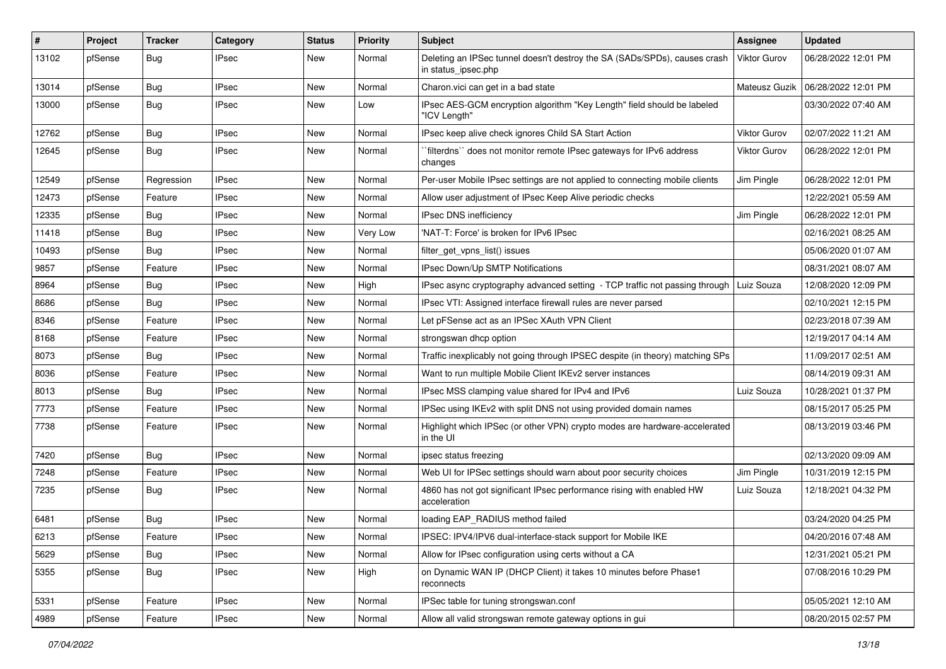| #     | Project | <b>Tracker</b> | Category     | <b>Status</b> | <b>Priority</b> | Subject                                                                                          | Assignee            | <b>Updated</b>      |
|-------|---------|----------------|--------------|---------------|-----------------|--------------------------------------------------------------------------------------------------|---------------------|---------------------|
| 13102 | pfSense | Bug            | IPsec        | New           | Normal          | Deleting an IPSec tunnel doesn't destroy the SA (SADs/SPDs), causes crash<br>in status_ipsec.php | <b>Viktor Gurov</b> | 06/28/2022 12:01 PM |
| 13014 | pfSense | <b>Bug</b>     | <b>IPsec</b> | New           | Normal          | Charon.vici can get in a bad state                                                               | Mateusz Guzik       | 06/28/2022 12:01 PM |
| 13000 | pfSense | <b>Bug</b>     | <b>IPsec</b> | New           | Low             | IPsec AES-GCM encryption algorithm "Key Length" field should be labeled<br>"ICV Length"          |                     | 03/30/2022 07:40 AM |
| 12762 | pfSense | Bug            | <b>IPsec</b> | New           | Normal          | IPsec keep alive check ignores Child SA Start Action                                             | Viktor Gurov        | 02/07/2022 11:21 AM |
| 12645 | pfSense | <b>Bug</b>     | <b>IPsec</b> | New           | Normal          | `filterdns`` does not monitor remote IPsec gateways for IPv6 address<br>changes                  | Viktor Gurov        | 06/28/2022 12:01 PM |
| 12549 | pfSense | Regression     | <b>IPsec</b> | New           | Normal          | Per-user Mobile IPsec settings are not applied to connecting mobile clients                      | Jim Pingle          | 06/28/2022 12:01 PM |
| 12473 | pfSense | Feature        | <b>IPsec</b> | New           | Normal          | Allow user adjustment of IPsec Keep Alive periodic checks                                        |                     | 12/22/2021 05:59 AM |
| 12335 | pfSense | <b>Bug</b>     | <b>IPsec</b> | New           | Normal          | IPsec DNS inefficiency                                                                           | Jim Pingle          | 06/28/2022 12:01 PM |
| 11418 | pfSense | <b>Bug</b>     | IPsec        | New           | Very Low        | 'NAT-T: Force' is broken for IPv6 IPsec                                                          |                     | 02/16/2021 08:25 AM |
| 10493 | pfSense | Bug            | <b>IPsec</b> | New           | Normal          | filter get vpns list() issues                                                                    |                     | 05/06/2020 01:07 AM |
| 9857  | pfSense | Feature        | IPsec        | New           | Normal          | IPsec Down/Up SMTP Notifications                                                                 |                     | 08/31/2021 08:07 AM |
| 8964  | pfSense | <b>Bug</b>     | <b>IPsec</b> | New           | High            | IPsec async cryptography advanced setting - TCP traffic not passing through   Luiz Souza         |                     | 12/08/2020 12:09 PM |
| 8686  | pfSense | Bug            | <b>IPsec</b> | New           | Normal          | IPsec VTI: Assigned interface firewall rules are never parsed                                    |                     | 02/10/2021 12:15 PM |
| 8346  | pfSense | Feature        | IPsec        | New           | Normal          | Let pFSense act as an IPSec XAuth VPN Client                                                     |                     | 02/23/2018 07:39 AM |
| 8168  | pfSense | Feature        | <b>IPsec</b> | New           | Normal          | strongswan dhcp option                                                                           |                     | 12/19/2017 04:14 AM |
| 8073  | pfSense | <b>Bug</b>     | IPsec        | New           | Normal          | Traffic inexplicably not going through IPSEC despite (in theory) matching SPs                    |                     | 11/09/2017 02:51 AM |
| 8036  | pfSense | Feature        | <b>IPsec</b> | New           | Normal          | Want to run multiple Mobile Client IKEv2 server instances                                        |                     | 08/14/2019 09:31 AM |
| 8013  | pfSense | <b>Bug</b>     | <b>IPsec</b> | New           | Normal          | IPsec MSS clamping value shared for IPv4 and IPv6                                                | Luiz Souza          | 10/28/2021 01:37 PM |
| 7773  | pfSense | Feature        | <b>IPsec</b> | New           | Normal          | IPSec using IKEv2 with split DNS not using provided domain names                                 |                     | 08/15/2017 05:25 PM |
| 7738  | pfSense | Feature        | IPsec        | New           | Normal          | Highlight which IPSec (or other VPN) crypto modes are hardware-accelerated<br>in the UI          |                     | 08/13/2019 03:46 PM |
| 7420  | pfSense | Bug            | <b>IPsec</b> | New           | Normal          | ipsec status freezing                                                                            |                     | 02/13/2020 09:09 AM |
| 7248  | pfSense | Feature        | <b>IPsec</b> | New           | Normal          | Web UI for IPSec settings should warn about poor security choices                                | Jim Pingle          | 10/31/2019 12:15 PM |
| 7235  | pfSense | <b>Bug</b>     | IPsec        | New           | Normal          | 4860 has not got significant IPsec performance rising with enabled HW<br>acceleration            | Luiz Souza          | 12/18/2021 04:32 PM |
| 6481  | pfSense | <b>Bug</b>     | <b>IPsec</b> | <b>New</b>    | Normal          | loading EAP_RADIUS method failed                                                                 |                     | 03/24/2020 04:25 PM |
| 6213  | pfSense | Feature        | <b>IPsec</b> | New           | Normal          | IPSEC: IPV4/IPV6 dual-interface-stack support for Mobile IKE                                     |                     | 04/20/2016 07:48 AM |
| 5629  | pfSense | Bug            | <b>IPsec</b> | New           | Normal          | Allow for IPsec configuration using certs without a CA                                           |                     | 12/31/2021 05:21 PM |
| 5355  | pfSense | Bug            | <b>IPsec</b> | New           | High            | on Dynamic WAN IP (DHCP Client) it takes 10 minutes before Phase1<br>reconnects                  |                     | 07/08/2016 10:29 PM |
| 5331  | pfSense | Feature        | <b>IPsec</b> | <b>New</b>    | Normal          | IPSec table for tuning strongswan.conf                                                           |                     | 05/05/2021 12:10 AM |
| 4989  | pfSense | Feature        | <b>IPsec</b> | New           | Normal          | Allow all valid strongswan remote gateway options in gui                                         |                     | 08/20/2015 02:57 PM |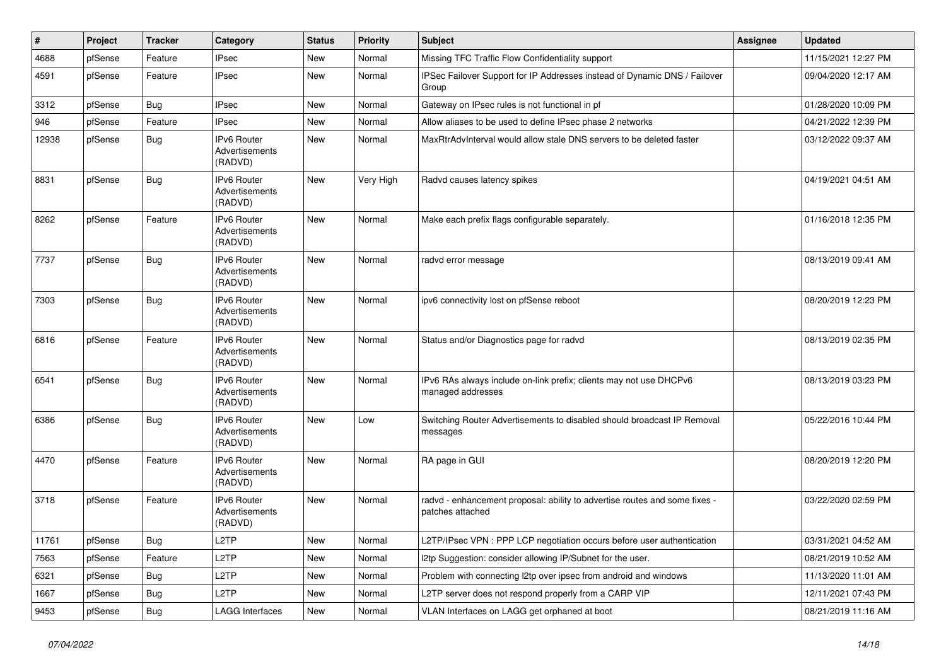| $\vert$ # | Project | <b>Tracker</b> | Category                                        | <b>Status</b> | <b>Priority</b> | Subject                                                                                        | Assignee | <b>Updated</b>      |
|-----------|---------|----------------|-------------------------------------------------|---------------|-----------------|------------------------------------------------------------------------------------------------|----------|---------------------|
| 4688      | pfSense | Feature        | <b>IPsec</b>                                    | New           | Normal          | Missing TFC Traffic Flow Confidentiality support                                               |          | 11/15/2021 12:27 PM |
| 4591      | pfSense | Feature        | <b>IPsec</b>                                    | New           | Normal          | IPSec Failover Support for IP Addresses instead of Dynamic DNS / Failover<br>Group             |          | 09/04/2020 12:17 AM |
| 3312      | pfSense | <b>Bug</b>     | <b>IPsec</b>                                    | <b>New</b>    | Normal          | Gateway on IPsec rules is not functional in pf                                                 |          | 01/28/2020 10:09 PM |
| 946       | pfSense | Feature        | <b>IPsec</b>                                    | New           | Normal          | Allow aliases to be used to define IPsec phase 2 networks                                      |          | 04/21/2022 12:39 PM |
| 12938     | pfSense | Bug            | IPv6 Router<br>Advertisements<br>(RADVD)        | New           | Normal          | MaxRtrAdvInterval would allow stale DNS servers to be deleted faster                           |          | 03/12/2022 09:37 AM |
| 8831      | pfSense | <b>Bug</b>     | <b>IPv6 Router</b><br>Advertisements<br>(RADVD) | New           | Very High       | Radvd causes latency spikes                                                                    |          | 04/19/2021 04:51 AM |
| 8262      | pfSense | Feature        | IPv6 Router<br>Advertisements<br>(RADVD)        | New           | Normal          | Make each prefix flags configurable separately.                                                |          | 01/16/2018 12:35 PM |
| 7737      | pfSense | Bug            | IPv6 Router<br>Advertisements<br>(RADVD)        | New           | Normal          | radvd error message                                                                            |          | 08/13/2019 09:41 AM |
| 7303      | pfSense | Bug            | <b>IPv6 Router</b><br>Advertisements<br>(RADVD) | New           | Normal          | ipv6 connectivity lost on pfSense reboot                                                       |          | 08/20/2019 12:23 PM |
| 6816      | pfSense | Feature        | <b>IPv6 Router</b><br>Advertisements<br>(RADVD) | <b>New</b>    | Normal          | Status and/or Diagnostics page for radvd                                                       |          | 08/13/2019 02:35 PM |
| 6541      | pfSense | Bug            | <b>IPv6 Router</b><br>Advertisements<br>(RADVD) | <b>New</b>    | Normal          | IPv6 RAs always include on-link prefix; clients may not use DHCPv6<br>managed addresses        |          | 08/13/2019 03:23 PM |
| 6386      | pfSense | Bug            | IPv6 Router<br>Advertisements<br>(RADVD)        | New           | Low             | Switching Router Advertisements to disabled should broadcast IP Removal<br>messages            |          | 05/22/2016 10:44 PM |
| 4470      | pfSense | Feature        | IPv6 Router<br>Advertisements<br>(RADVD)        | New           | Normal          | RA page in GUI                                                                                 |          | 08/20/2019 12:20 PM |
| 3718      | pfSense | Feature        | <b>IPv6 Router</b><br>Advertisements<br>(RADVD) | New           | Normal          | radvd - enhancement proposal: ability to advertise routes and some fixes -<br>patches attached |          | 03/22/2020 02:59 PM |
| 11761     | pfSense | Bug            | L <sub>2</sub> TP                               | New           | Normal          | L2TP/IPsec VPN : PPP LCP negotiation occurs before user authentication                         |          | 03/31/2021 04:52 AM |
| 7563      | pfSense | Feature        | L <sub>2</sub> TP                               | New           | Normal          | I2tp Suggestion: consider allowing IP/Subnet for the user.                                     |          | 08/21/2019 10:52 AM |
| 6321      | pfSense | <b>Bug</b>     | L <sub>2</sub> TP                               | New           | Normal          | Problem with connecting l2tp over ipsec from android and windows                               |          | 11/13/2020 11:01 AM |
| 1667      | pfSense | Bug            | L <sub>2</sub> TP                               | New           | Normal          | L2TP server does not respond properly from a CARP VIP                                          |          | 12/11/2021 07:43 PM |
| 9453      | pfSense | Bug            | <b>LAGG Interfaces</b>                          | New           | Normal          | VLAN Interfaces on LAGG get orphaned at boot                                                   |          | 08/21/2019 11:16 AM |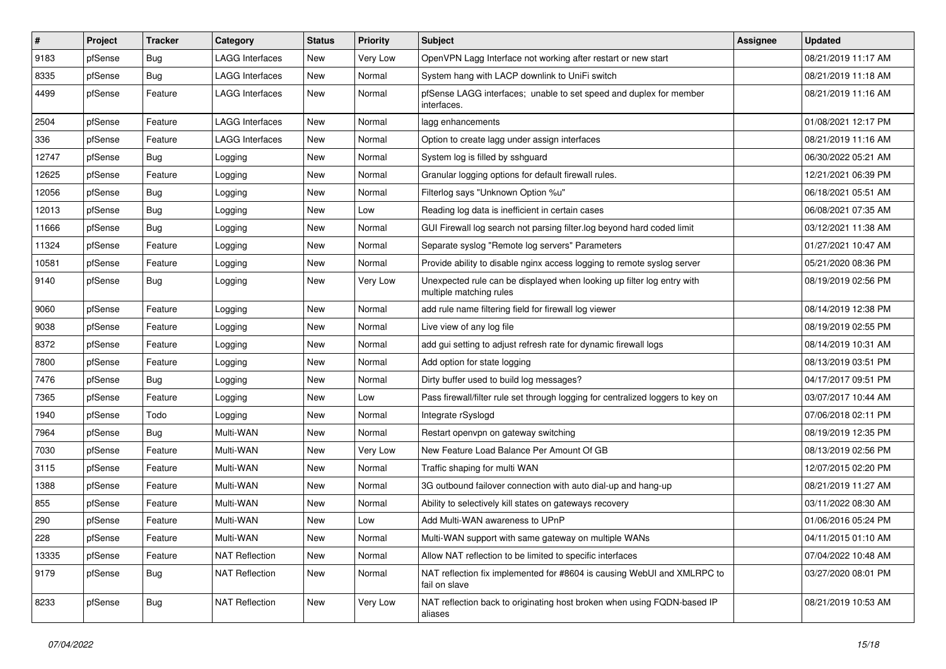| #     | Project | <b>Tracker</b> | Category               | <b>Status</b> | <b>Priority</b> | Subject                                                                                           | Assignee | <b>Updated</b>      |
|-------|---------|----------------|------------------------|---------------|-----------------|---------------------------------------------------------------------------------------------------|----------|---------------------|
| 9183  | pfSense | <b>Bug</b>     | <b>LAGG Interfaces</b> | New           | Very Low        | OpenVPN Lagg Interface not working after restart or new start                                     |          | 08/21/2019 11:17 AM |
| 8335  | pfSense | <b>Bug</b>     | LAGG Interfaces        | <b>New</b>    | Normal          | System hang with LACP downlink to UniFi switch                                                    |          | 08/21/2019 11:18 AM |
| 4499  | pfSense | Feature        | LAGG Interfaces        | New           | Normal          | pfSense LAGG interfaces; unable to set speed and duplex for member<br>interfaces.                 |          | 08/21/2019 11:16 AM |
| 2504  | pfSense | Feature        | <b>LAGG Interfaces</b> | <b>New</b>    | Normal          | lagg enhancements                                                                                 |          | 01/08/2021 12:17 PM |
| 336   | pfSense | Feature        | LAGG Interfaces        | New           | Normal          | Option to create lagg under assign interfaces                                                     |          | 08/21/2019 11:16 AM |
| 12747 | pfSense | Bug            | Logging                | New           | Normal          | System log is filled by sshguard                                                                  |          | 06/30/2022 05:21 AM |
| 12625 | pfSense | Feature        | Logging                | <b>New</b>    | Normal          | Granular logging options for default firewall rules.                                              |          | 12/21/2021 06:39 PM |
| 12056 | pfSense | <b>Bug</b>     | Logging                | <b>New</b>    | Normal          | Filterlog says "Unknown Option %u"                                                                |          | 06/18/2021 05:51 AM |
| 12013 | pfSense | <b>Bug</b>     | Logging                | <b>New</b>    | Low             | Reading log data is inefficient in certain cases                                                  |          | 06/08/2021 07:35 AM |
| 11666 | pfSense | Bug            | Logging                | New           | Normal          | GUI Firewall log search not parsing filter.log beyond hard coded limit                            |          | 03/12/2021 11:38 AM |
| 11324 | pfSense | Feature        | Logging                | New           | Normal          | Separate syslog "Remote log servers" Parameters                                                   |          | 01/27/2021 10:47 AM |
| 10581 | pfSense | Feature        | Logging                | <b>New</b>    | Normal          | Provide ability to disable nginx access logging to remote syslog server                           |          | 05/21/2020 08:36 PM |
| 9140  | pfSense | Bug            | Logging                | <b>New</b>    | Very Low        | Unexpected rule can be displayed when looking up filter log entry with<br>multiple matching rules |          | 08/19/2019 02:56 PM |
| 9060  | pfSense | Feature        | Logging                | New           | Normal          | add rule name filtering field for firewall log viewer                                             |          | 08/14/2019 12:38 PM |
| 9038  | pfSense | Feature        | Logging                | <b>New</b>    | Normal          | Live view of any log file                                                                         |          | 08/19/2019 02:55 PM |
| 8372  | pfSense | Feature        | Logging                | <b>New</b>    | Normal          | add gui setting to adjust refresh rate for dynamic firewall logs                                  |          | 08/14/2019 10:31 AM |
| 7800  | pfSense | Feature        | Logging                | New           | Normal          | Add option for state logging                                                                      |          | 08/13/2019 03:51 PM |
| 7476  | pfSense | <b>Bug</b>     | Logging                | New           | Normal          | Dirty buffer used to build log messages?                                                          |          | 04/17/2017 09:51 PM |
| 7365  | pfSense | Feature        | Logging                | <b>New</b>    | Low             | Pass firewall/filter rule set through logging for centralized loggers to key on                   |          | 03/07/2017 10:44 AM |
| 1940  | pfSense | Todo           | Logging                | <b>New</b>    | Normal          | Integrate rSyslogd                                                                                |          | 07/06/2018 02:11 PM |
| 7964  | pfSense | <b>Bug</b>     | Multi-WAN              | <b>New</b>    | Normal          | Restart openvpn on gateway switching                                                              |          | 08/19/2019 12:35 PM |
| 7030  | pfSense | Feature        | Multi-WAN              | New           | Very Low        | New Feature Load Balance Per Amount Of GB                                                         |          | 08/13/2019 02:56 PM |
| 3115  | pfSense | Feature        | Multi-WAN              | New           | Normal          | Traffic shaping for multi WAN                                                                     |          | 12/07/2015 02:20 PM |
| 1388  | pfSense | Feature        | Multi-WAN              | New           | Normal          | 3G outbound failover connection with auto dial-up and hang-up                                     |          | 08/21/2019 11:27 AM |
| 855   | pfSense | Feature        | Multi-WAN              | New           | Normal          | Ability to selectively kill states on gateways recovery                                           |          | 03/11/2022 08:30 AM |
| 290   | pfSense | Feature        | Multi-WAN              | <b>New</b>    | Low             | Add Multi-WAN awareness to UPnP                                                                   |          | 01/06/2016 05:24 PM |
| 228   | pfSense | Feature        | Multi-WAN              | New           | Normal          | Multi-WAN support with same gateway on multiple WANs                                              |          | 04/11/2015 01:10 AM |
| 13335 | pfSense | Feature        | <b>NAT Reflection</b>  | New           | Normal          | Allow NAT reflection to be limited to specific interfaces                                         |          | 07/04/2022 10:48 AM |
| 9179  | pfSense | <b>Bug</b>     | <b>NAT Reflection</b>  | New           | Normal          | NAT reflection fix implemented for #8604 is causing WebUI and XMLRPC to<br>fail on slave          |          | 03/27/2020 08:01 PM |
| 8233  | pfSense | <b>Bug</b>     | <b>NAT Reflection</b>  | New           | Very Low        | NAT reflection back to originating host broken when using FQDN-based IP<br>aliases                |          | 08/21/2019 10:53 AM |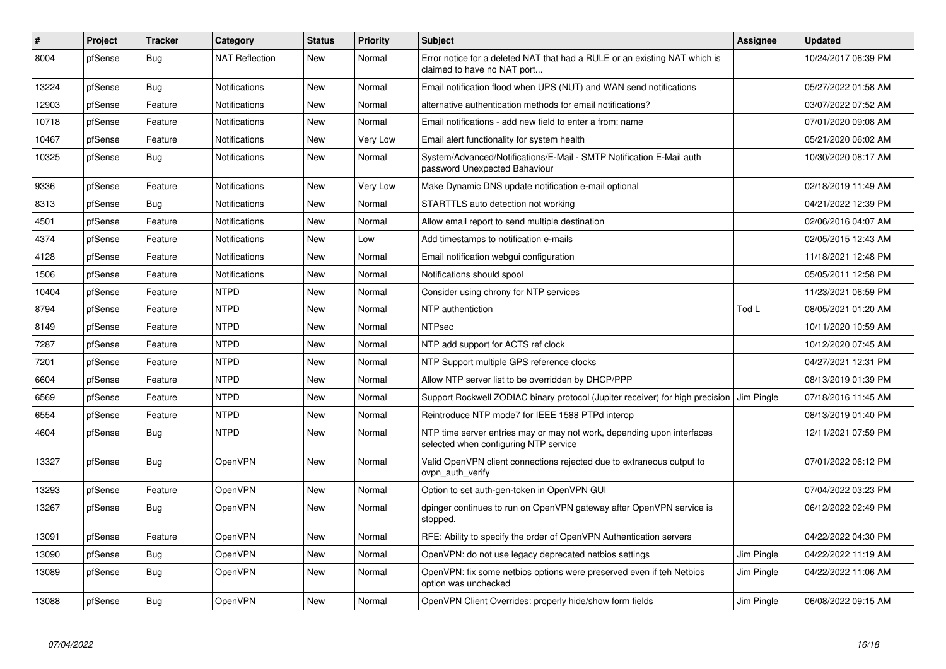| #     | Project | <b>Tracker</b> | Category              | <b>Status</b> | Priority | <b>Subject</b>                                                                                                  | Assignee   | <b>Updated</b>      |
|-------|---------|----------------|-----------------------|---------------|----------|-----------------------------------------------------------------------------------------------------------------|------------|---------------------|
| 8004  | pfSense | Bug            | <b>NAT Reflection</b> | New           | Normal   | Error notice for a deleted NAT that had a RULE or an existing NAT which is<br>claimed to have no NAT port       |            | 10/24/2017 06:39 PM |
| 13224 | pfSense | Bug            | <b>Notifications</b>  | <b>New</b>    | Normal   | Email notification flood when UPS (NUT) and WAN send notifications                                              |            | 05/27/2022 01:58 AM |
| 12903 | pfSense | Feature        | <b>Notifications</b>  | <b>New</b>    | Normal   | alternative authentication methods for email notifications?                                                     |            | 03/07/2022 07:52 AM |
| 10718 | pfSense | Feature        | <b>Notifications</b>  | <b>New</b>    | Normal   | Email notifications - add new field to enter a from: name                                                       |            | 07/01/2020 09:08 AM |
| 10467 | pfSense | Feature        | <b>Notifications</b>  | New           | Very Low | Email alert functionality for system health                                                                     |            | 05/21/2020 06:02 AM |
| 10325 | pfSense | Bug            | <b>Notifications</b>  | <b>New</b>    | Normal   | System/Advanced/Notifications/E-Mail - SMTP Notification E-Mail auth<br>password Unexpected Bahaviour           |            | 10/30/2020 08:17 AM |
| 9336  | pfSense | Feature        | <b>Notifications</b>  | <b>New</b>    | Very Low | Make Dynamic DNS update notification e-mail optional                                                            |            | 02/18/2019 11:49 AM |
| 8313  | pfSense | Bug            | <b>Notifications</b>  | <b>New</b>    | Normal   | STARTTLS auto detection not working                                                                             |            | 04/21/2022 12:39 PM |
| 4501  | pfSense | Feature        | <b>Notifications</b>  | <b>New</b>    | Normal   | Allow email report to send multiple destination                                                                 |            | 02/06/2016 04:07 AM |
| 4374  | pfSense | Feature        | Notifications         | <b>New</b>    | Low      | Add timestamps to notification e-mails                                                                          |            | 02/05/2015 12:43 AM |
| 4128  | pfSense | Feature        | <b>Notifications</b>  | New           | Normal   | Email notification webgui configuration                                                                         |            | 11/18/2021 12:48 PM |
| 1506  | pfSense | Feature        | Notifications         | <b>New</b>    | Normal   | Notifications should spool                                                                                      |            | 05/05/2011 12:58 PM |
| 10404 | pfSense | Feature        | <b>NTPD</b>           | New           | Normal   | Consider using chrony for NTP services                                                                          |            | 11/23/2021 06:59 PM |
| 8794  | pfSense | Feature        | <b>NTPD</b>           | <b>New</b>    | Normal   | NTP authentiction                                                                                               | Tod L      | 08/05/2021 01:20 AM |
| 8149  | pfSense | Feature        | <b>NTPD</b>           | New           | Normal   | <b>NTPsec</b>                                                                                                   |            | 10/11/2020 10:59 AM |
| 7287  | pfSense | Feature        | <b>NTPD</b>           | <b>New</b>    | Normal   | NTP add support for ACTS ref clock                                                                              |            | 10/12/2020 07:45 AM |
| 7201  | pfSense | Feature        | <b>NTPD</b>           | <b>New</b>    | Normal   | NTP Support multiple GPS reference clocks                                                                       |            | 04/27/2021 12:31 PM |
| 6604  | pfSense | Feature        | <b>NTPD</b>           | <b>New</b>    | Normal   | Allow NTP server list to be overridden by DHCP/PPP                                                              |            | 08/13/2019 01:39 PM |
| 6569  | pfSense | Feature        | <b>NTPD</b>           | <b>New</b>    | Normal   | Support Rockwell ZODIAC binary protocol (Jupiter receiver) for high precision                                   | Jim Pingle | 07/18/2016 11:45 AM |
| 6554  | pfSense | Feature        | <b>NTPD</b>           | <b>New</b>    | Normal   | Reintroduce NTP mode7 for IEEE 1588 PTPd interop                                                                |            | 08/13/2019 01:40 PM |
| 4604  | pfSense | Bug            | <b>NTPD</b>           | <b>New</b>    | Normal   | NTP time server entries may or may not work, depending upon interfaces<br>selected when configuring NTP service |            | 12/11/2021 07:59 PM |
| 13327 | pfSense | <b>Bug</b>     | OpenVPN               | <b>New</b>    | Normal   | Valid OpenVPN client connections rejected due to extraneous output to<br>ovpn auth verify                       |            | 07/01/2022 06:12 PM |
| 13293 | pfSense | Feature        | <b>OpenVPN</b>        | <b>New</b>    | Normal   | Option to set auth-gen-token in OpenVPN GUI                                                                     |            | 07/04/2022 03:23 PM |
| 13267 | pfSense | Bug            | <b>OpenVPN</b>        | New           | Normal   | dpinger continues to run on OpenVPN gateway after OpenVPN service is<br>stopped.                                |            | 06/12/2022 02:49 PM |
| 13091 | pfSense | Feature        | <b>OpenVPN</b>        | New           | Normal   | RFE: Ability to specify the order of OpenVPN Authentication servers                                             |            | 04/22/2022 04:30 PM |
| 13090 | pfSense | Bug            | <b>OpenVPN</b>        | <b>New</b>    | Normal   | OpenVPN: do not use legacy deprecated netbios settings                                                          | Jim Pingle | 04/22/2022 11:19 AM |
| 13089 | pfSense | Bug            | <b>OpenVPN</b>        | <b>New</b>    | Normal   | OpenVPN: fix some netbios options were preserved even if teh Netbios<br>option was unchecked                    | Jim Pingle | 04/22/2022 11:06 AM |
| 13088 | pfSense | <b>Bug</b>     | <b>OpenVPN</b>        | <b>New</b>    | Normal   | OpenVPN Client Overrides: properly hide/show form fields                                                        | Jim Pingle | 06/08/2022 09:15 AM |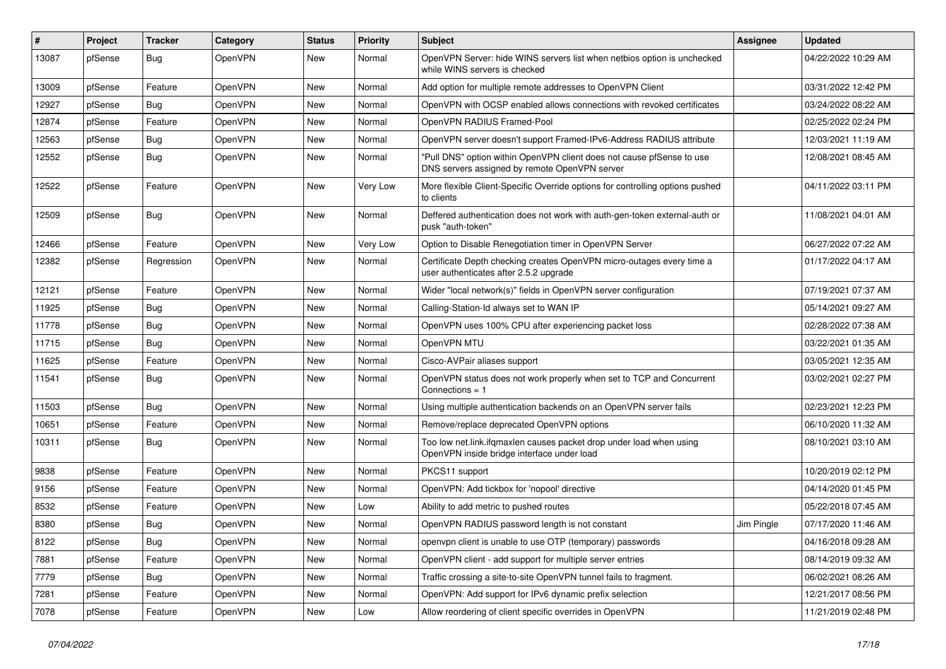| #     | Project | <b>Tracker</b> | Category       | <b>Status</b> | <b>Priority</b> | Subject                                                                                                                | Assignee   | <b>Updated</b>      |
|-------|---------|----------------|----------------|---------------|-----------------|------------------------------------------------------------------------------------------------------------------------|------------|---------------------|
| 13087 | pfSense | Bug            | OpenVPN        | New           | Normal          | OpenVPN Server: hide WINS servers list when netbios option is unchecked<br>while WINS servers is checked               |            | 04/22/2022 10:29 AM |
| 13009 | pfSense | Feature        | OpenVPN        | New           | Normal          | Add option for multiple remote addresses to OpenVPN Client                                                             |            | 03/31/2022 12:42 PM |
| 12927 | pfSense | <b>Bug</b>     | OpenVPN        | New           | Normal          | OpenVPN with OCSP enabled allows connections with revoked certificates                                                 |            | 03/24/2022 08:22 AM |
| 12874 | pfSense | Feature        | OpenVPN        | <b>New</b>    | Normal          | OpenVPN RADIUS Framed-Pool                                                                                             |            | 02/25/2022 02:24 PM |
| 12563 | pfSense | <b>Bug</b>     | OpenVPN        | New           | Normal          | OpenVPN server doesn't support Framed-IPv6-Address RADIUS attribute                                                    |            | 12/03/2021 11:19 AM |
| 12552 | pfSense | Bug            | <b>OpenVPN</b> | New           | Normal          | "Pull DNS" option within OpenVPN client does not cause pfSense to use<br>DNS servers assigned by remote OpenVPN server |            | 12/08/2021 08:45 AM |
| 12522 | pfSense | Feature        | OpenVPN        | <b>New</b>    | Very Low        | More flexible Client-Specific Override options for controlling options pushed<br>to clients                            |            | 04/11/2022 03:11 PM |
| 12509 | pfSense | Bug            | OpenVPN        | New           | Normal          | Deffered authentication does not work with auth-gen-token external-auth or<br>pusk "auth-token"                        |            | 11/08/2021 04:01 AM |
| 12466 | pfSense | Feature        | OpenVPN        | <b>New</b>    | Very Low        | Option to Disable Renegotiation timer in OpenVPN Server                                                                |            | 06/27/2022 07:22 AM |
| 12382 | pfSense | Regression     | OpenVPN        | New           | Normal          | Certificate Depth checking creates OpenVPN micro-outages every time a<br>user authenticates after 2.5.2 upgrade        |            | 01/17/2022 04:17 AM |
| 12121 | pfSense | Feature        | OpenVPN        | <b>New</b>    | Normal          | Wider "local network(s)" fields in OpenVPN server configuration                                                        |            | 07/19/2021 07:37 AM |
| 11925 | pfSense | <b>Bug</b>     | OpenVPN        | New           | Normal          | Calling-Station-Id always set to WAN IP                                                                                |            | 05/14/2021 09:27 AM |
| 11778 | pfSense | Bug            | OpenVPN        | New           | Normal          | OpenVPN uses 100% CPU after experiencing packet loss                                                                   |            | 02/28/2022 07:38 AM |
| 11715 | pfSense | <b>Bug</b>     | OpenVPN        | New           | Normal          | OpenVPN MTU                                                                                                            |            | 03/22/2021 01:35 AM |
| 11625 | pfSense | Feature        | OpenVPN        | New           | Normal          | Cisco-AVPair aliases support                                                                                           |            | 03/05/2021 12:35 AM |
| 11541 | pfSense | Bug            | OpenVPN        | New           | Normal          | OpenVPN status does not work properly when set to TCP and Concurrent<br>Connections $= 1$                              |            | 03/02/2021 02:27 PM |
| 11503 | pfSense | <b>Bug</b>     | OpenVPN        | New           | Normal          | Using multiple authentication backends on an OpenVPN server fails                                                      |            | 02/23/2021 12:23 PM |
| 10651 | pfSense | Feature        | OpenVPN        | <b>New</b>    | Normal          | Remove/replace deprecated OpenVPN options                                                                              |            | 06/10/2020 11:32 AM |
| 10311 | pfSense | Bug            | OpenVPN        | New           | Normal          | Too low net.link.ifqmaxlen causes packet drop under load when using<br>OpenVPN inside bridge interface under load      |            | 08/10/2021 03:10 AM |
| 9838  | pfSense | Feature        | OpenVPN        | New           | Normal          | PKCS11 support                                                                                                         |            | 10/20/2019 02:12 PM |
| 9156  | pfSense | Feature        | OpenVPN        | New           | Normal          | OpenVPN: Add tickbox for 'nopool' directive                                                                            |            | 04/14/2020 01:45 PM |
| 8532  | pfSense | Feature        | OpenVPN        | New           | Low             | Ability to add metric to pushed routes                                                                                 |            | 05/22/2018 07:45 AM |
| 8380  | pfSense | Bug            | OpenVPN        | New           | Normal          | OpenVPN RADIUS password length is not constant                                                                         | Jim Pingle | 07/17/2020 11:46 AM |
| 8122  | pfSense | Bug            | <b>OpenVPN</b> | New           | Normal          | openvpn client is unable to use OTP (temporary) passwords                                                              |            | 04/16/2018 09:28 AM |
| 7881  | pfSense | Feature        | OpenVPN        | New           | Normal          | OpenVPN client - add support for multiple server entries                                                               |            | 08/14/2019 09:32 AM |
| 7779  | pfSense | <b>Bug</b>     | OpenVPN        | New           | Normal          | Traffic crossing a site-to-site OpenVPN tunnel fails to fragment.                                                      |            | 06/02/2021 08:26 AM |
| 7281  | pfSense | Feature        | OpenVPN        | New           | Normal          | OpenVPN: Add support for IPv6 dynamic prefix selection                                                                 |            | 12/21/2017 08:56 PM |
| 7078  | pfSense | Feature        | OpenVPN        | New           | Low             | Allow reordering of client specific overrides in OpenVPN                                                               |            | 11/21/2019 02:48 PM |